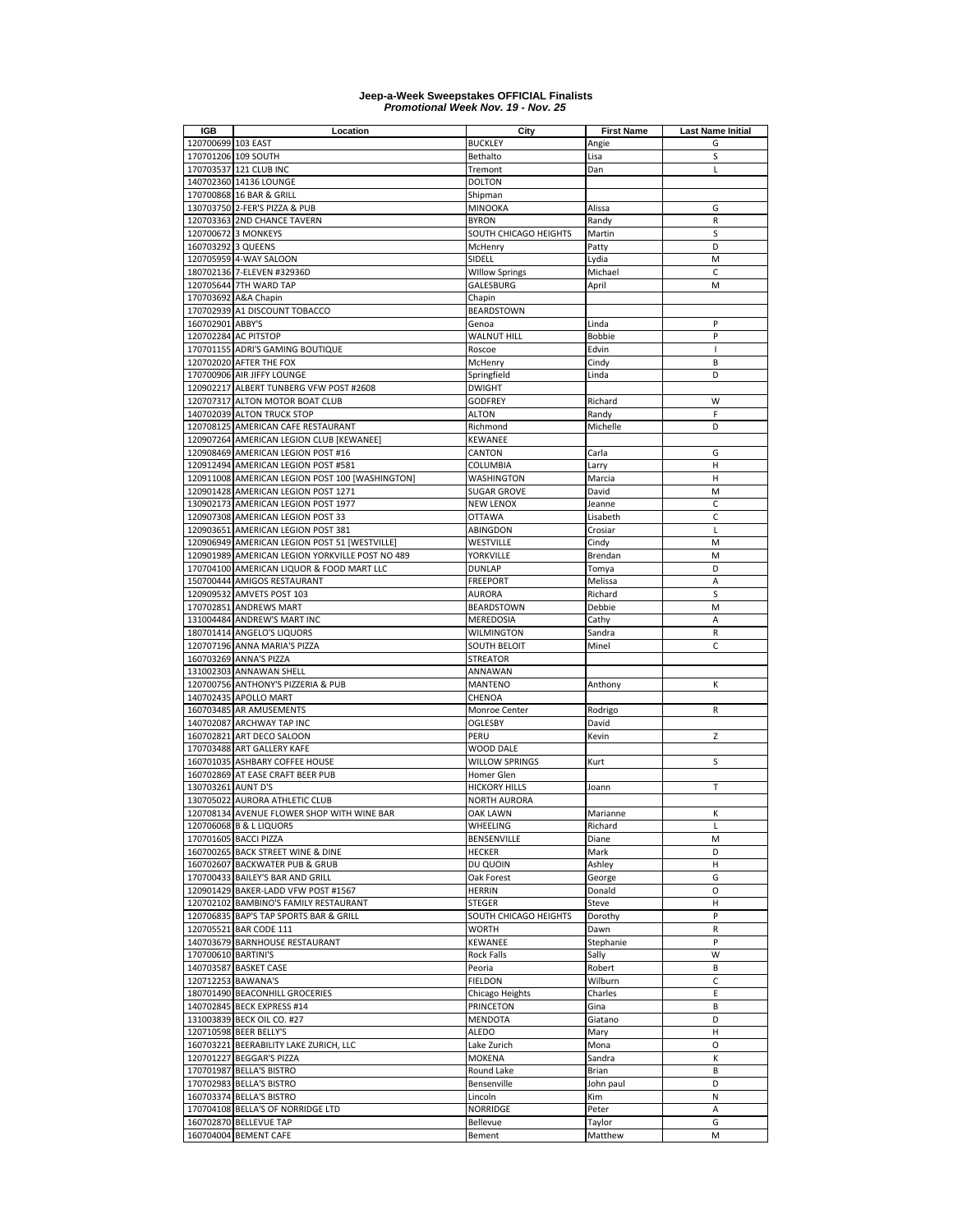| <b>IGB</b>                       | Location                                                           | City                         | <b>First Name</b> | <b>Last Name Initial</b> |
|----------------------------------|--------------------------------------------------------------------|------------------------------|-------------------|--------------------------|
| 120700699 103 EAST               |                                                                    | <b>BUCKLEY</b>               | Angie             | G                        |
|                                  | 170701206 109 SOUTH                                                | Bethalto                     | Lisa              | S                        |
|                                  | 170703537 121 CLUB INC                                             | Tremont                      | Dan               | Г                        |
|                                  | 140702360 14136 LOUNGE                                             | <b>DOLTON</b>                |                   |                          |
|                                  | 170700868 16 BAR & GRILL                                           | Shipman                      |                   |                          |
|                                  | 130703750 2-FER'S PIZZA & PUB                                      | <b>MINOOKA</b>               | Alissa            | G                        |
|                                  | 120703363 2ND CHANCE TAVERN                                        | <b>BYRON</b>                 | Randy             | R                        |
|                                  | 120700672 3 MONKEYS                                                | SOUTH CHICAGO HEIGHTS        | Martin            | S                        |
| 160703292 3 QUEENS               |                                                                    | McHenry                      | Patty             | D                        |
|                                  | 120705959 4-WAY SALOON                                             | SIDELL                       | Lydia             | M                        |
|                                  | 180702136 7-ELEVEN #32936D                                         | <b>Willow Springs</b>        | Michael           | C                        |
|                                  | 120705644 7TH WARD TAP                                             | GALESBURG                    | April             | M                        |
|                                  | 170703692 A&A Chapin                                               | Chapin                       |                   |                          |
|                                  | 170702939 A1 DISCOUNT TOBACCO                                      | <b>BEARDSTOWN</b>            |                   |                          |
| 160702901 ABBY'S                 |                                                                    | Genoa                        | Linda             | P                        |
|                                  | 120702284 AC PITSTOP                                               | <b>WALNUT HILL</b>           | <b>Bobbie</b>     | P                        |
|                                  | 170701155 ADRI'S GAMING BOUTIQUE                                   | Roscoe                       | Edvin             | $\mathbf{I}$             |
|                                  | 120702020 AFTER THE FOX                                            | McHenry                      | Cindy             | B                        |
|                                  | 170700906 AIR JIFFY LOUNGE                                         | Springfield                  | Linda             | D                        |
|                                  | 120902217 ALBERT TUNBERG VFW POST #2608                            | <b>DWIGHT</b>                |                   |                          |
|                                  | 120707317 ALTON MOTOR BOAT CLUB                                    | <b>GODFREY</b>               | Richard           | W                        |
|                                  | 140702039 ALTON TRUCK STOP                                         | <b>ALTON</b>                 | Randy             | F                        |
|                                  | 120708125 AMERICAN CAFE RESTAURANT                                 | Richmond                     | Michelle          | D                        |
|                                  | 120907264 AMERICAN LEGION CLUB [KEWANEE]                           | <b>KEWANEE</b>               |                   |                          |
|                                  | 120908469 AMERICAN LEGION POST #16                                 | CANTON                       | Carla             | G                        |
|                                  | 120912494 AMERICAN LEGION POST #581                                | COLUMBIA                     | Larry             | н                        |
|                                  | 120911008 AMERICAN LEGION POST 100 [WASHINGTON]                    | <b>WASHINGTON</b>            | Marcia            | н                        |
|                                  | 120901428 AMERICAN LEGION POST 1271                                | <b>SUGAR GROVE</b>           | David             | M                        |
|                                  | 130902173 AMERICAN LEGION POST 1977                                | <b>NEW LENOX</b>             | Jeanne            | C                        |
|                                  | 120907308 AMERICAN LEGION POST 33                                  | <b>OTTAWA</b>                | Lisabeth          | C                        |
|                                  | 120903651 AMERICAN LEGION POST 381                                 | ABINGDON                     | Crosiar           | L                        |
|                                  | 120906949 AMERICAN LEGION POST 51 [WESTVILLE]                      | WESTVILLE                    | Cindy             | M                        |
|                                  | 120901989 AMERICAN LEGION YORKVILLE POST NO 489                    | YORKVILLE                    | Brendan           | M                        |
|                                  | 170704100 AMERICAN LIQUOR & FOOD MART LLC                          | <b>DUNLAP</b>                | Tomya             | D                        |
|                                  | 150700444 AMIGOS RESTAURANT                                        | <b>FREEPORT</b>              | Melissa           | A                        |
|                                  | 120909532 AMVETS POST 103                                          | <b>AURORA</b>                | Richard           | S                        |
|                                  | 170702851 ANDREWS MART                                             | <b>BEARDSTOWN</b>            | Debbie            | M                        |
|                                  | 131004484 ANDREW'S MART INC                                        | MEREDOSIA                    | Cathy             | A                        |
|                                  | 180701414 ANGELO'S LIQUORS                                         | <b>WILMINGTON</b>            | Sandra            | R                        |
|                                  | 120707196 ANNA MARIA'S PIZZA                                       | <b>SOUTH BELOIT</b>          | Minel             | $\mathsf{C}$             |
|                                  | 160703269 ANNA'S PIZZA                                             | <b>STREATOR</b>              |                   |                          |
|                                  | 131002303 ANNAWAN SHELL                                            | ANNAWAN                      |                   |                          |
|                                  | 120700756 ANTHONY'S PIZZERIA & PUB                                 | MANTENO                      | Anthony           | К                        |
|                                  | 140702435 APOLLO MART                                              | CHENOA                       |                   |                          |
|                                  | 160703485 AR AMUSEMENTS                                            | Monroe Center                | Rodrigo           | R                        |
|                                  | 140702087 ARCHWAY TAP INC                                          | <b>OGLESBY</b>               | David             |                          |
|                                  | 160702821 ART DECO SALOON                                          | PERU                         | Kevin             | Z                        |
|                                  | 170703488 ART GALLERY KAFE                                         | WOOD DALE                    |                   |                          |
|                                  | 160701035 ASHBARY COFFEE HOUSE                                     | WILLOW SPRINGS               | Kurt              | S                        |
|                                  | 160702869 AT EASE CRAFT BEER PUB                                   | Homer Glen                   |                   |                          |
| 130703261 AUNT D'S               |                                                                    | <b>HICKORY HILLS</b>         | Joann             | Т                        |
|                                  | 130705022 AURORA ATHLETIC CLUB                                     | <b>NORTH AURORA</b>          |                   |                          |
|                                  | 120708134 AVENUE FLOWER SHOP WITH WINE BAR                         | <b>OAK LAWN</b>              | Marianne          | К                        |
|                                  | 120706068 B & L LIQUORS<br>170701605 BACCI PIZZA                   | WHEELING                     | Richard           | L                        |
| 160700265                        |                                                                    | BENSENVILLE<br><b>HECKER</b> | Diane<br>Mark     | M                        |
|                                  | BACK STREET WINE & DINE                                            |                              |                   | D                        |
|                                  | 160702607 BACKWATER PUB & GRUB<br>170700433 BAILEY'S BAR AND GRILL | DU QUOIN                     | Ashley            | Н<br>G                   |
|                                  | 120901429 BAKER-LADD VFW POST #1567                                | Oak Forest<br><b>HERRIN</b>  | George            | O                        |
|                                  | 120702102 BAMBINO'S FAMILY RESTAURANT                              | <b>STEGER</b>                | Donald<br>Steve   | н                        |
|                                  | 120706835 BAP'S TAP SPORTS BAR & GRILL                             |                              |                   | P                        |
|                                  |                                                                    | SOUTH CHICAGO HEIGHTS        | Dorothy           |                          |
|                                  | 120705521 BAR CODE 111                                             | <b>WORTH</b>                 | Dawn              | R<br>P                   |
|                                  | 140703679 BARNHOUSE RESTAURANT                                     | KEWANEE                      | Stephanie         | W                        |
| 170700610 BARTINI'S<br>140703587 |                                                                    | Rock Falls                   | Sally             |                          |
|                                  | <b>BASKET CASE</b>                                                 | Peoria                       | Robert            | В<br>C                   |
|                                  | 120712253 BAWANA'S<br>180701490 BEACONHILL GROCERIES               | <b>FIELDON</b>               | Wilburn           | Ε                        |
|                                  |                                                                    | Chicago Heights<br>PRINCETON | Charles<br>Gina   | В                        |
|                                  | 140702845 BECK EXPRESS #14<br>131003839 BECK OIL CO. #27           | <b>MENDOTA</b>               |                   | D                        |
|                                  | 120710598 BEER BELLY'S                                             | <b>ALEDO</b>                 | Giatano<br>Mary   | н                        |
|                                  | 160703221 BEERABILITY LAKE ZURICH, LLC                             |                              |                   | O                        |
| 120701227                        | <b>BEGGAR'S PIZZA</b>                                              | Lake Zurich<br><b>MOKENA</b> | Mona<br>Sandra    | К                        |
| 170701987                        |                                                                    | Round Lake                   | Brian             | B                        |
|                                  | <b>BELLA'S BISTRO</b>                                              |                              |                   |                          |
|                                  | 170702983 BELLA'S BISTRO                                           | Bensenville                  | John paul         | D                        |
|                                  | 160703374 BELLA'S BISTRO                                           | Lincoln                      | Kim               | Ν                        |
|                                  | 170704108 BELLA'S OF NORRIDGE LTD                                  | <b>NORRIDGE</b>              | Peter             | Α                        |
|                                  | 160702870 BELLEVUE TAP                                             | Bellevue                     | Taylor            | G                        |
|                                  | 160704004 BEMENT CAFE                                              | Bement                       | Matthew           | M                        |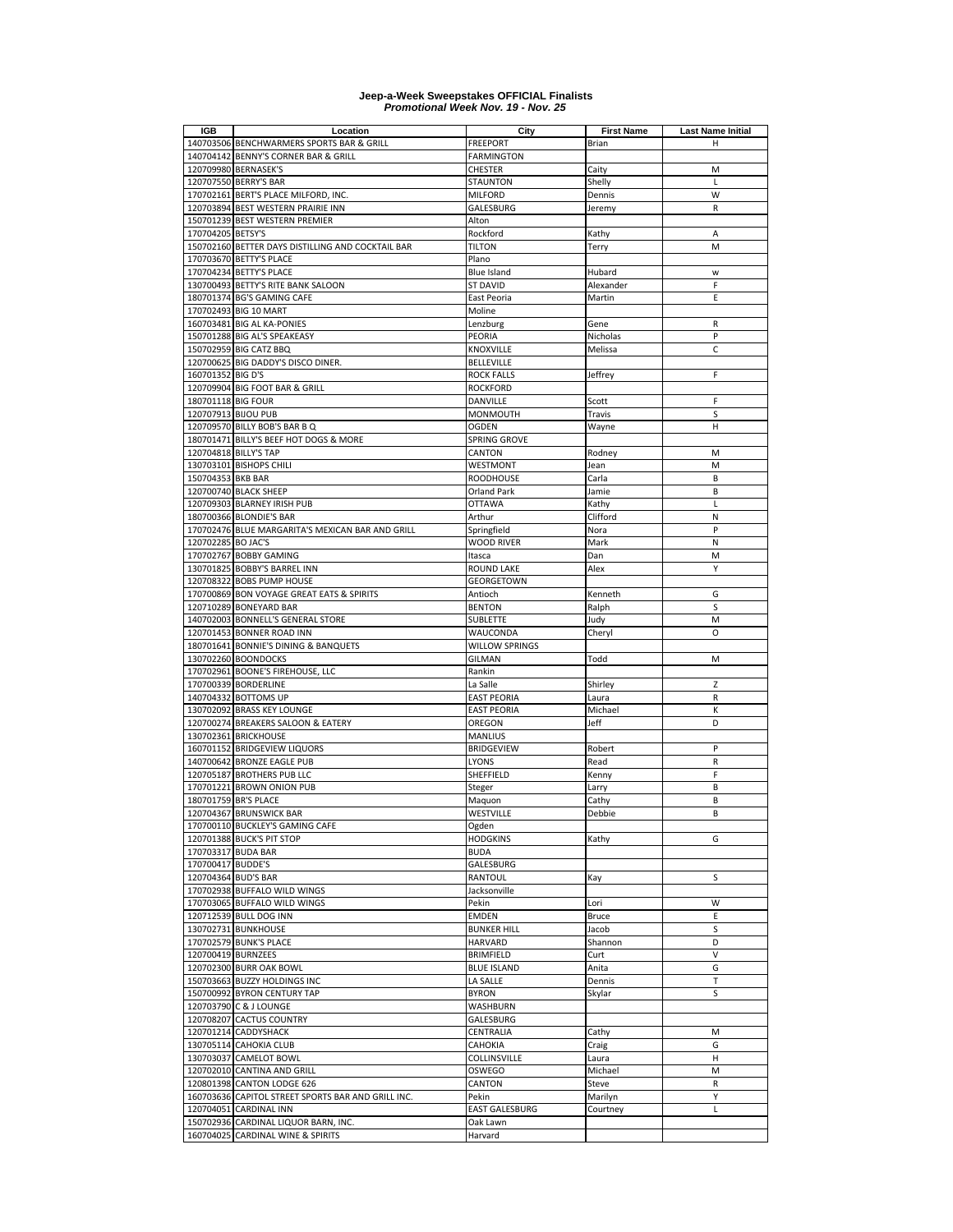| IGB                 | Location                                                   | City                | <b>First Name</b>   | <b>Last Name Initial</b> |
|---------------------|------------------------------------------------------------|---------------------|---------------------|--------------------------|
|                     | 140703506 BENCHWARMERS SPORTS BAR & GRILL                  | FREEPORT            | Brian               | н                        |
|                     | 140704142 BENNY'S CORNER BAR & GRILL                       | FARMINGTON          |                     |                          |
|                     | 120709980 BERNASEK'S                                       | CHESTER             | Caity               | M                        |
|                     | 120707550 BERRY'S BAR                                      | <b>STAUNTON</b>     | Shelly              | L                        |
|                     | 170702161 BERT'S PLACE MILFORD, INC.                       | <b>MILFORD</b>      | Dennis              | W                        |
|                     | 120703894 BEST WESTERN PRAIRIE INN                         | GALESBURG           | Jeremy              | R                        |
|                     | 150701239 BEST WESTERN PREMIER                             | Alton               |                     |                          |
| 170704205 BETSY'S   |                                                            | Rockford            | Kathy               | A                        |
|                     | 150702160 BETTER DAYS DISTILLING AND COCKTAIL BAR          | <b>TILTON</b>       | Terry               | M                        |
|                     | 170703670 BETTY'S PLACE                                    | Plano               |                     |                          |
|                     | 170704234 BETTY'S PLACE                                    | Blue Island         | Hubard              | W<br>F                   |
|                     | 130700493 BETTY'S RITE BANK SALOON                         | <b>ST DAVID</b>     | Alexander           | E                        |
|                     | 180701374 BG'S GAMING CAFE                                 | East Peoria         | Martin              |                          |
|                     | 170702493 BIG 10 MART                                      | Moline              |                     |                          |
|                     | 160703481 BIG AL KA-PONIES<br>150701288 BIG AL'S SPEAKEASY | Lenzburg            | Gene                | R<br>P                   |
|                     | 150702959 BIG CATZ BBQ                                     | PEORIA<br>KNOXVILLE | Nicholas<br>Melissa | C                        |
|                     | 120700625 BIG DADDY'S DISCO DINER.                         | <b>BELLEVILLE</b>   |                     |                          |
| 160701352 BIG D'S   |                                                            | <b>ROCK FALLS</b>   | Jeffrey             | F                        |
|                     | 120709904 BIG FOOT BAR & GRILL                             | <b>ROCKFORD</b>     |                     |                          |
| 180701118 BIG FOUR  |                                                            | DANVILLE            | Scott               | F                        |
| 120707913 BIJOU PUB |                                                            | MONMOUTH            | Travis              | S                        |
|                     | 120709570 BILLY BOB'S BAR B Q                              | <b>OGDEN</b>        | Wayne               | н                        |
|                     | 180701471 BILLY'S BEEF HOT DOGS & MORE                     | SPRING GROVE        |                     |                          |
|                     | 120704818 BILLY'S TAP                                      | CANTON              | Rodney              | M                        |
|                     | 130703101 BISHOPS CHILI                                    | WESTMONT            | Jean                | M                        |
| 150704353 BKB BAR   |                                                            | ROODHOUSE           | Carla               | B                        |
|                     | 120700740 BLACK SHEEP                                      | Orland Park         | Jamie               | B                        |
|                     | 120709303 BLARNEY IRISH PUB                                | <b>OTTAWA</b>       | Kathy               | Г                        |
|                     | 180700366 BLONDIE'S BAR                                    | Arthur              | Clifford            | N                        |
|                     | 170702476 BLUE MARGARITA'S MEXICAN BAR AND GRILL           | Springfield         | Nora                | P                        |
| 120702285 BO JAC'S  |                                                            | <b>WOOD RIVER</b>   | Mark                | N                        |
|                     | 170702767 BOBBY GAMING                                     | Itasca              | Dan                 | M                        |
|                     | 130701825 BOBBY'S BARREL INN                               | ROUND LAKE          | Alex                | Υ                        |
|                     | 120708322 BOBS PUMP HOUSE                                  | GEORGETOWN          |                     |                          |
|                     | 170700869 BON VOYAGE GREAT EATS & SPIRITS                  | Antioch             | Kenneth             | G                        |
|                     | 120710289 BONEYARD BAR                                     | <b>BENTON</b>       | Ralph               | S                        |
|                     | 140702003 BONNELL'S GENERAL STORE                          | SUBLETTE            | Judy                | M                        |
|                     | 120701453 BONNER ROAD INN                                  | WAUCONDA            | Cheryl              | $\circ$                  |
|                     | 180701641 BONNIE'S DINING & BANQUETS                       | WILLOW SPRINGS      |                     |                          |
|                     | 130702260 BOONDOCKS                                        | <b>GILMAN</b>       | Todd                | M                        |
|                     | 170702961 BOONE'S FIREHOUSE, LLC                           | Rankin              |                     |                          |
|                     | 170700339 BORDERLINE                                       | La Salle            | Shirley             | Z                        |
|                     | 140704332 BOTTOMS UP                                       | <b>EAST PEORIA</b>  | Laura               | R                        |
|                     | 130702092 BRASS KEY LOUNGE                                 | <b>EAST PEORIA</b>  | Michael             | K                        |
|                     | 120700274 BREAKERS SALOON & EATERY                         | OREGON              | Jeff                | D                        |
|                     | 130702361 BRICKHOUSE                                       | <b>MANLIUS</b>      |                     |                          |
|                     | 160701152 BRIDGEVIEW LIQUORS                               | BRIDGEVIEW          | Robert              | P                        |
|                     | 140700642 BRONZE EAGLE PUB                                 | LYONS               | Read                | R                        |
|                     | 120705187 BROTHERS PUB LLC                                 | SHEFFIELD           | Kenny               | F                        |
|                     | 170701221 BROWN ONION PUB                                  | Steger              | Larry               | B                        |
|                     | 180701759 BR'S PLACE                                       | Maquon              | Cathy               | В                        |
|                     | 120704367 BRUNSWICK BAR                                    | WESTVILLE           | Debbie              | B                        |
|                     | 170700110 BUCKLEY'S GAMING CAFE                            | Ogden               |                     |                          |
|                     | 120701388 BUCK'S PIT STOP                                  | <b>HODGKINS</b>     | Kathy               | G                        |
| 170703317 BUDA BAR  |                                                            | <b>BUDA</b>         |                     |                          |
| 170700417 BUDDE'S   |                                                            | GALESBURG           |                     |                          |
| 120704364 BUD'S BAR |                                                            | RANTOUL             | Kay                 | S                        |
|                     | 170702938 BUFFALO WILD WINGS                               | Jacksonville        |                     |                          |
|                     | 170703065 BUFFALO WILD WINGS                               | Pekin               | Lori                | W                        |
|                     | 120712539 BULL DOG INN                                     | <b>EMDEN</b>        | <b>Bruce</b>        | E                        |
|                     | 130702731 BUNKHOUSE                                        | <b>BUNKER HILL</b>  | Jacob               | S                        |
|                     | 170702579 BUNK'S PLACE                                     | HARVARD             | Shannon             | D                        |
| 120700419 BURNZEES  |                                                            | <b>BRIMFIELD</b>    | Curt                | V                        |
|                     | 120702300 BURR OAK BOWL                                    | <b>BLUE ISLAND</b>  | Anita               | G                        |
|                     | 150703663 BUZZY HOLDINGS INC                               | LA SALLE            | Dennis              | Т                        |
|                     | 150700992 BYRON CENTURY TAP                                | <b>BYRON</b>        | Skylar              | S                        |
|                     | 120703790 C & J LOUNGE                                     | WASHBURN            |                     |                          |
|                     | 120708207 CACTUS COUNTRY                                   | GALESBURG           |                     |                          |
|                     | 120701214 CADDYSHACK                                       | CENTRALIA           | Cathy               | M                        |
|                     | 130705114 CAHOKIA CLUB                                     | CAHOKIA             | Craig               | G                        |
|                     | 130703037 CAMELOT BOWL                                     | COLLINSVILLE        | Laura               | н                        |
|                     | 120702010 CANTINA AND GRILL                                | OSWEGO              | Michael             | М                        |
|                     | 120801398 CANTON LODGE 626                                 | CANTON              | Steve               | R                        |
|                     | 160703636 CAPITOL STREET SPORTS BAR AND GRILL INC.         | Pekin               | Marilyn             | Υ                        |
|                     | 120704051 CARDINAL INN                                     | EAST GALESBURG      | Courtney            | Г                        |
|                     | 150702936 CARDINAL LIQUOR BARN, INC.                       | Oak Lawn            |                     |                          |
|                     | 160704025 CARDINAL WINE & SPIRITS                          | Harvard             |                     |                          |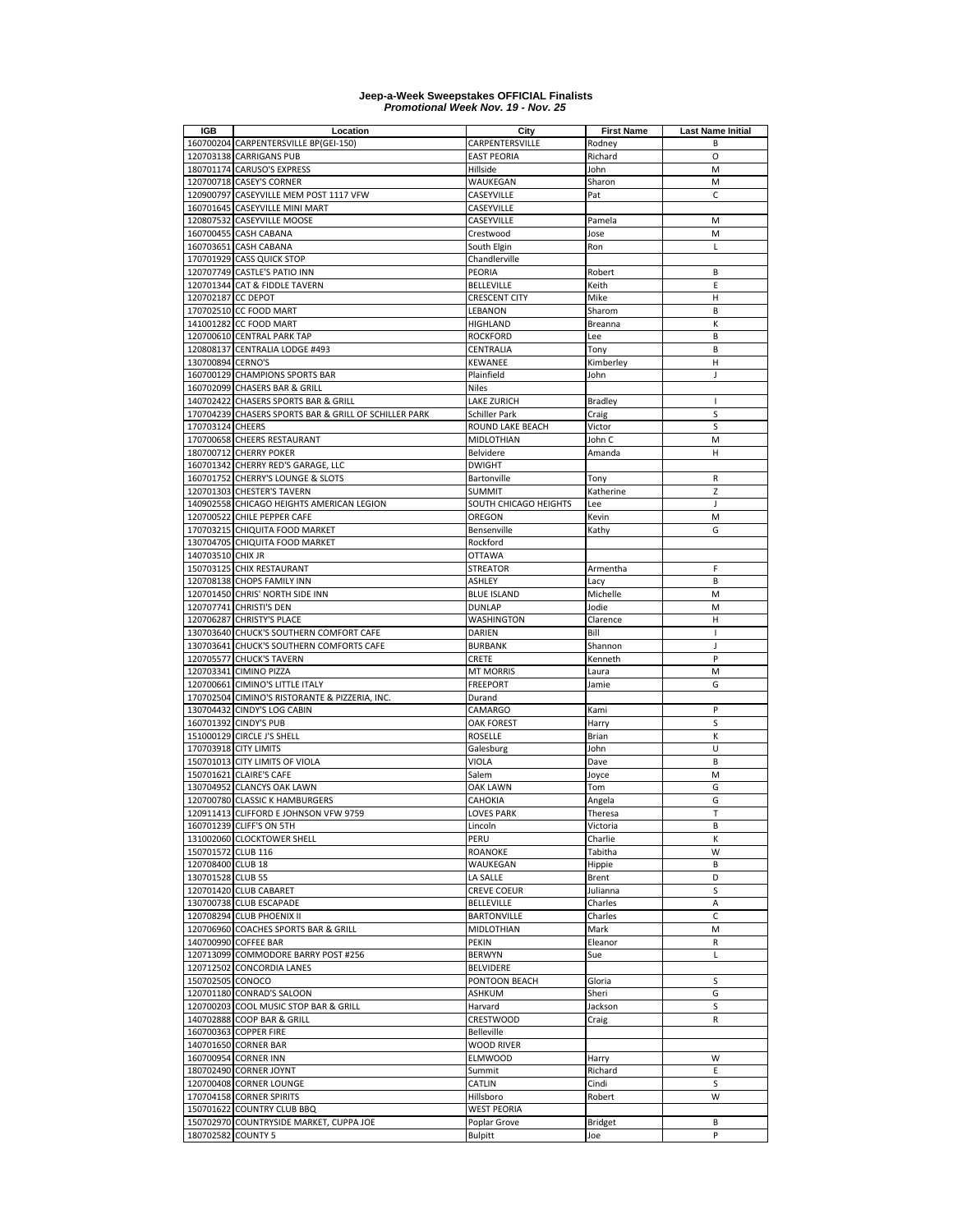| <b>IGB</b>         | Location                                                                          | City                                | <b>First Name</b> | <b>Last Name Initial</b> |
|--------------------|-----------------------------------------------------------------------------------|-------------------------------------|-------------------|--------------------------|
|                    | 160700204 CARPENTERSVILLE BP(GEI-150)                                             | CARPENTERSVILLE                     | Rodney            | B                        |
|                    | 120703138 CARRIGANS PUB                                                           | <b>EAST PEORIA</b>                  | Richard           | O                        |
|                    | 180701174 CARUSO'S EXPRESS                                                        | Hillside                            | John              | M                        |
|                    | 120700718 CASEY'S CORNER                                                          | WAUKEGAN                            | Sharon            | M                        |
|                    | 120900797 CASEYVILLE MEM POST 1117 VFW                                            | CASEYVILLE                          | Pat               | $\mathsf C$              |
|                    | 160701645 CASEYVILLE MINI MART                                                    | CASEYVILLE                          |                   |                          |
|                    | 120807532 CASEYVILLE MOOSE                                                        | CASEYVILLE                          | Pamela            | M                        |
|                    | 160700455 CASH CABANA                                                             | Crestwood                           | Jose              | M                        |
|                    | 160703651 CASH CABANA                                                             | South Elgin                         | Ron               | Г                        |
|                    | 170701929 CASS QUICK STOP<br>120707749 CASTLE'S PATIO INN                         | Chandlerville<br>PEORIA             |                   | В                        |
|                    | 120701344 CAT & FIDDLE TAVERN                                                     | <b>BELLEVILLE</b>                   | Robert<br>Keith   | E                        |
| 120702187 CC DEPOT |                                                                                   | CRESCENT CITY                       | Mike              | н                        |
|                    | 170702510 CC FOOD MART                                                            | LEBANON                             | Sharom            | B                        |
|                    | 141001282 CC FOOD MART                                                            | HIGHLAND                            | Breanna           | K                        |
|                    | 120700610 CENTRAL PARK TAP                                                        | <b>ROCKFORD</b>                     | Lee               | B                        |
|                    | 120808137 CENTRALIA LODGE #493                                                    | CENTRALIA                           | Tony              | B                        |
| 130700894 CERNO'S  |                                                                                   | KEWANEE                             | Kimberley         | Н                        |
|                    | 160700129 CHAMPIONS SPORTS BAR                                                    | Plainfield                          | John              | J                        |
|                    | 160702099 CHASERS BAR & GRILL                                                     | <b>Niles</b>                        |                   |                          |
|                    | 140702422 CHASERS SPORTS BAR & GRILL                                              | <b>LAKE ZURICH</b>                  | <b>Bradley</b>    | $\mathsf{I}$             |
|                    | 170704239 CHASERS SPORTS BAR & GRILL OF SCHILLER PARK                             | Schiller Park                       | Craig             | S                        |
| 170703124 CHEERS   |                                                                                   | ROUND LAKE BEACH                    | Victor            | S                        |
|                    | 170700658 CHEERS RESTAURANT                                                       | <b>MIDLOTHIAN</b>                   | John C            | M                        |
|                    | 180700712 CHERRY POKER                                                            | Belvidere                           | Amanda            | H                        |
|                    | 160701342 CHERRY RED'S GARAGE, LLC                                                | <b>DWIGHT</b>                       |                   |                          |
|                    | 160701752 CHERRY'S LOUNGE & SLOTS                                                 | Bartonville                         | Tony              | R                        |
|                    | 120701303 CHESTER'S TAVERN                                                        | <b>SUMMIT</b>                       | Katherine         | Z                        |
|                    | 140902558 CHICAGO HEIGHTS AMERICAN LEGION                                         | SOUTH CHICAGO HEIGHTS               | Lee               | J                        |
|                    | 120700522 CHILE PEPPER CAFE                                                       | OREGON                              | Kevin             | M                        |
|                    | 170703215 CHIQUITA FOOD MARKET                                                    | Bensenville                         | Kathy             | G                        |
|                    | 130704705 CHIQUITA FOOD MARKET                                                    | Rockford                            |                   |                          |
| 140703510 CHIX JR  |                                                                                   | <b>OTTAWA</b>                       |                   |                          |
|                    | 150703125 CHIX RESTAURANT                                                         | STREATOR                            | Armentha          | F                        |
|                    | 120708138 CHOPS FAMILY INN                                                        | ASHLEY                              | Lacy              | B                        |
|                    | 120701450 CHRIS' NORTH SIDE INN                                                   | <b>BLUE ISLAND</b>                  | Michelle          | M                        |
|                    | 120707741 CHRISTI'S DEN                                                           | <b>DUNLAP</b>                       | Jodie             | M                        |
|                    | 120706287 CHRISTY'S PLACE                                                         | WASHINGTON                          | Clarence          | н                        |
|                    | 130703640 CHUCK'S SOUTHERN COMFORT CAFE                                           | DARIEN                              | Bill              | $\mathsf{L}$             |
|                    | 130703641 CHUCK'S SOUTHERN COMFORTS CAFE                                          | <b>BURBANK</b>                      | Shannon           | J                        |
|                    | 120705577 CHUCK'S TAVERN                                                          | CRETE                               | Kenneth           | P                        |
|                    | 120703341 CIMINO PIZZA                                                            | <b>MT MORRIS</b>                    | Laura             | M<br>G                   |
|                    | 120700661 CIMINO'S LITTLE ITALY<br>170702504 CIMINO'S RISTORANTE & PIZZERIA, INC. | <b>FREEPORT</b><br>Durand           | Jamie             |                          |
|                    | 130704432 CINDY'S LOG CABIN                                                       | CAMARGO                             | Kami              | P                        |
|                    | 160701392 CINDY'S PUB                                                             | OAK FOREST                          | Harry             | S                        |
|                    | 151000129 CIRCLE J'S SHELL                                                        | ROSELLE                             | Brian             | К                        |
|                    | 170703918 CITY LIMITS                                                             | Galesburg                           | John              | U                        |
|                    | 150701013 CITY LIMITS OF VIOLA                                                    | VIOLA                               | Dave              | B                        |
|                    | 150701621 CLAIRE'S CAFE                                                           | Salem                               | Joyce             | M                        |
|                    | 130704952 CLANCYS OAK LAWN                                                        | <b>OAK LAWN</b>                     | Tom               | G                        |
|                    | 120700780 CLASSIC K HAMBURGERS                                                    | CAHOKIA                             | Angela            | G                        |
|                    | 120911413 CLIFFORD E JOHNSON VFW 9759                                             | <b>LOVES PARK</b>                   | Theresa           | $\mathsf T$              |
|                    | 160701239 CLIFF'S ON 5TH                                                          | Lincoln                             | Victoria          | в                        |
|                    | 131002060 CLOCKTOWER SHELL                                                        | PERU                                | Charlie           | к                        |
| 150701572 CLUB 116 |                                                                                   | <b>ROANOKE</b>                      | Tabitha           | W                        |
| 120708400 CLUB 18  |                                                                                   | WAUKEGAN                            | Hippie            | В                        |
| 130701528 CLUB 55  |                                                                                   | LA SALLE                            | Brent             | D                        |
|                    | 120701420 CLUB CABARET                                                            | CREVE COEUR                         | Julianna          | S                        |
|                    | 130700738 CLUB ESCAPADE                                                           | BELLEVILLE                          | Charles           | Α                        |
|                    | 120708294 CLUB PHOENIX II                                                         | <b>BARTONVILLE</b>                  | Charles           | $\mathsf C$              |
|                    | 120706960 COACHES SPORTS BAR & GRILL                                              | MIDLOTHIAN                          | Mark              | М                        |
|                    | 140700990 COFFEE BAR                                                              | PEKIN                               | Eleanor           | R                        |
|                    | 120713099 COMMODORE BARRY POST #256                                               | <b>BERWYN</b>                       | Sue               | Г                        |
|                    | 120712502 CONCORDIA LANES                                                         | BELVIDERE                           |                   |                          |
| 150702505 CONOCO   |                                                                                   | PONTOON BEACH                       | Gloria            | S                        |
|                    | 120701180 CONRAD'S SALOON                                                         | ASHKUM                              | Sheri             | G                        |
|                    | 120700203 COOL MUSIC STOP BAR & GRILL                                             | Harvard                             | Jackson           | S                        |
|                    | 140702888 COOP BAR & GRILL                                                        | <b>CRESTWOOD</b>                    | Craig             | R                        |
|                    | 160700363 COPPER FIRE<br>140701650 CORNER BAR                                     | Belleville                          |                   |                          |
|                    | 160700954 CORNER INN                                                              | <b>WOOD RIVER</b><br><b>ELMWOOD</b> | Harry             | W                        |
|                    | 180702490 CORNER JOYNT                                                            | Summit                              | Richard           | E                        |
|                    | 120700408 CORNER LOUNGE                                                           | CATLIN                              | Cindi             | S                        |
|                    | 170704158 CORNER SPIRITS                                                          | Hillsboro                           | Robert            | W                        |
|                    | 150701622 COUNTRY CLUB BBQ                                                        | <b>WEST PEORIA</b>                  |                   |                          |
|                    | 150702970 COUNTRYSIDE MARKET, CUPPA JOE                                           | Poplar Grove                        | <b>Bridget</b>    | B                        |
| 180702582 COUNTY 5 |                                                                                   | <b>Bulpitt</b>                      | Joe               | P                        |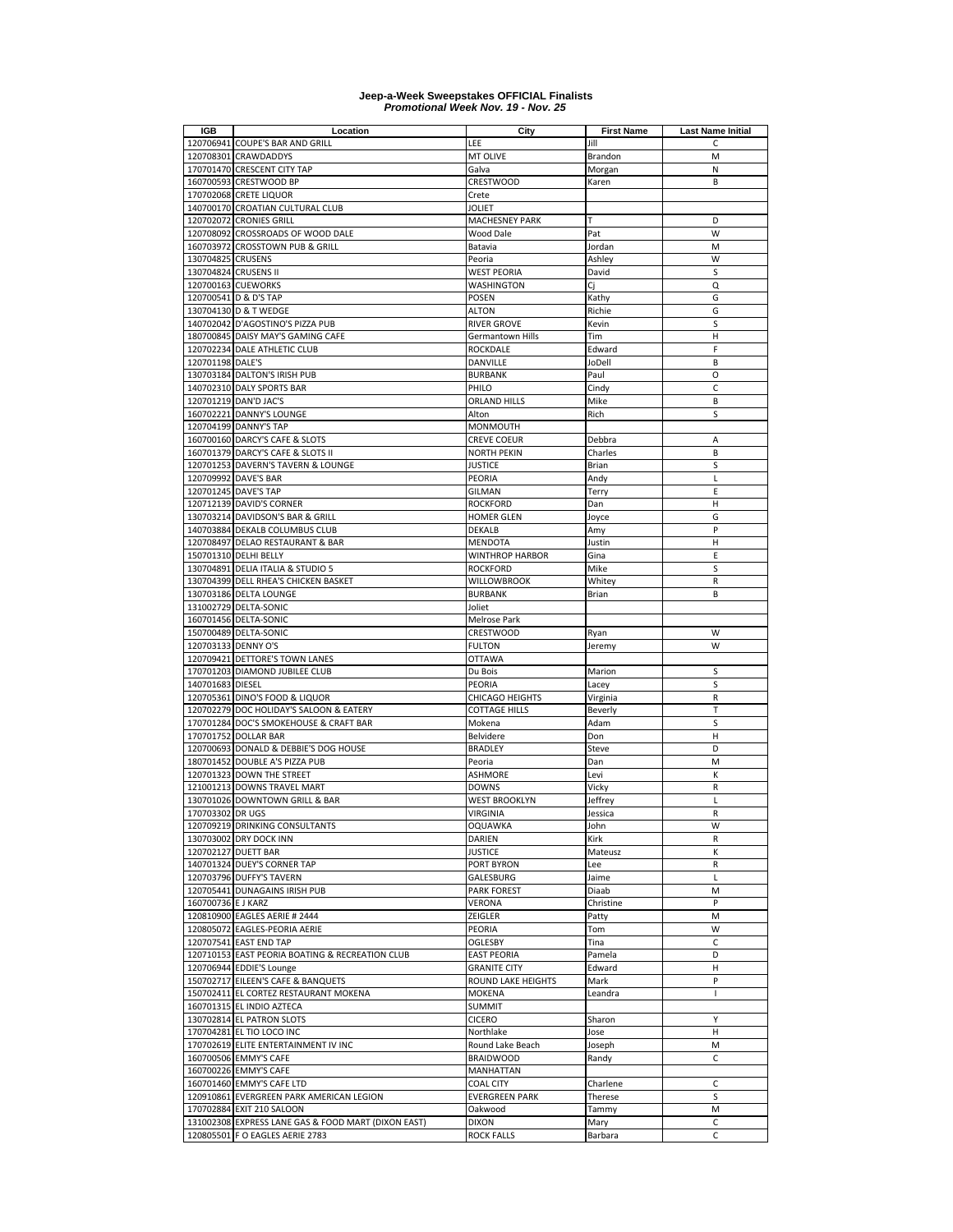| IGB                 | Location                                                                          | City                                      | <b>First Name</b>   | <b>Last Name Initial</b> |
|---------------------|-----------------------------------------------------------------------------------|-------------------------------------------|---------------------|--------------------------|
|                     | 120706941 COUPE'S BAR AND GRILL                                                   | LEE                                       | Jill                | C.                       |
|                     | 120708301 CRAWDADDYS                                                              | MT OLIVE                                  | Brandon             | M                        |
|                     | 170701470 CRESCENT CITY TAP                                                       | Galva                                     | Morgan              | N                        |
|                     | 160700593 CRESTWOOD BP                                                            | <b>CRESTWOOD</b>                          | Karen               | B                        |
|                     | 170702068 CRETE LIQUOR                                                            | Crete                                     |                     |                          |
|                     | 140700170 CROATIAN CULTURAL CLUB                                                  | <b>JOLIET</b>                             |                     |                          |
|                     | 120702072 CRONIES GRILL                                                           | <b>MACHESNEY PARK</b>                     | т                   | D                        |
|                     | 120708092 CROSSROADS OF WOOD DALE                                                 | <b>Wood Dale</b>                          | Pat                 | W                        |
|                     | 160703972 CROSSTOWN PUB & GRILL                                                   | Batavia                                   | Jordan              | M                        |
| 130704825 CRUSENS   | 130704824 CRUSENS II                                                              | Peoria                                    | Ashley              | W<br>S                   |
|                     | 120700163 CUEWORKS                                                                | WEST PEORIA<br><b>WASHINGTON</b>          | David<br>Cj         | Q                        |
|                     | 120700541 D & D'S TAP                                                             | POSEN                                     | Kathy               | G                        |
|                     | 130704130 D & T WEDGE                                                             | <b>ALTON</b>                              | Richie              | G                        |
|                     | 140702042 D'AGOSTINO'S PIZZA PUB                                                  | <b>RIVER GROVE</b>                        | Kevin               | S                        |
|                     | 180700845 DAISY MAY'S GAMING CAFE                                                 | Germantown Hills                          | Tim                 | н                        |
|                     | 120702234 DALE ATHLETIC CLUB                                                      | ROCKDALE                                  | Edward              | F                        |
| 120701198 DALE'S    |                                                                                   | DANVILLE                                  | JoDell              | B                        |
|                     | 130703184 DALTON'S IRISH PUB                                                      | <b>BURBANK</b>                            | Paul                | O                        |
|                     | 140702310 DALY SPORTS BAR                                                         | PHILO                                     | Cindy               | C                        |
|                     | 120701219 DAN'D JAC'S                                                             | ORLAND HILLS                              | Mike                | B                        |
|                     | 160702221 DANNY'S LOUNGE                                                          | Alton                                     | Rich                | S                        |
|                     | 120704199 DANNY'S TAP                                                             | MONMOUTH                                  |                     |                          |
|                     | 160700160 DARCY'S CAFE & SLOTS                                                    | <b>CREVE COEUR</b>                        | Debbra              | A                        |
|                     | 160701379 DARCY'S CAFE & SLOTS II                                                 | <b>NORTH PEKIN</b>                        | Charles             | B                        |
|                     | 120701253 DAVERN'S TAVERN & LOUNGE                                                | <b>JUSTICE</b>                            | Brian               | S                        |
|                     | 120709992 DAVE'S BAR                                                              | PEORIA                                    | Andy                | L                        |
|                     | 120701245 DAVE'S TAP                                                              | <b>GILMAN</b>                             | Terry               | E                        |
|                     | 120712139 DAVID'S CORNER                                                          | <b>ROCKFORD</b>                           | Dan                 | н                        |
|                     | 130703214 DAVIDSON'S BAR & GRILL                                                  | HOMER GLEN                                | Joyce               | G                        |
|                     | 140703884 DEKALB COLUMBUS CLUB                                                    | <b>DEKALB</b>                             | Amy                 | P                        |
|                     | 120708497 DELAO RESTAURANT & BAR                                                  | MENDOTA                                   | Justin              | Н                        |
|                     | 150701310 DELHI BELLY                                                             | WINTHROP HARBOR                           | Gina                | E                        |
|                     | 130704891 DELIA ITALIA & STUDIO 5                                                 | <b>ROCKFORD</b>                           | Mike                | S                        |
|                     | 130704399 DELL RHEA'S CHICKEN BASKET                                              | <b>WILLOWBROOK</b>                        | Whitey              | R                        |
|                     | 130703186 DELTA LOUNGE                                                            | <b>BURBANK</b>                            | Brian               | B                        |
|                     | 131002729 DELTA-SONIC                                                             | Joliet                                    |                     |                          |
|                     | 160701456 DELTA-SONIC                                                             | Melrose Park                              |                     |                          |
|                     | 150700489 DELTA-SONIC                                                             | CRESTWOOD                                 | Ryan                | W                        |
| 120703133 DENNY O'S |                                                                                   | <b>FULTON</b>                             | Jeremy              | W                        |
|                     | 120709421 DETTORE'S TOWN LANES                                                    | <b>OTTAWA</b>                             |                     |                          |
|                     | 170701203 DIAMOND JUBILEE CLUB                                                    | Du Bois                                   | Marion              | S                        |
| 140701683 DIESEL    |                                                                                   | PEORIA                                    | Lacey               | S                        |
|                     | 120705361 DINO'S FOOD & LIQUOR                                                    | <b>CHICAGO HEIGHTS</b>                    | Virginia            | R<br>T                   |
|                     | 120702279 DOC HOLIDAY'S SALOON & EATERY<br>170701284 DOC'S SMOKEHOUSE & CRAFT BAR | <b>COTTAGE HILLS</b><br>Mokena            | Beverly<br>Adam     | S                        |
|                     | 170701752 DOLLAR BAR                                                              | Belvidere                                 | Don                 | Н                        |
|                     | 120700693 DONALD & DEBBIE'S DOG HOUSE                                             | <b>BRADLEY</b>                            | Steve               | D                        |
|                     | 180701452 DOUBLE A'S PIZZA PUB                                                    | Peoria                                    | Dan                 | M                        |
|                     | 120701323 DOWN THE STREET                                                         | <b>ASHMORE</b>                            | Levi                | К                        |
|                     | 121001213 DOWNS TRAVEL MART                                                       | <b>DOWNS</b>                              | Vicky               | R                        |
|                     | 130701026 DOWNTOWN GRILL & BAR                                                    | <b>WEST BROOKLYN</b>                      | Jeffrey             | L                        |
| 170703302 DR UGS    |                                                                                   | <b>VIRGINIA</b>                           | Jessica             | R                        |
|                     | 120709219 DRINKING CONSULTANTS                                                    | OQUAWKA                                   | John                | W                        |
|                     | 130703002 DRY DOCK INN                                                            | DARIEN                                    | Kirk                | R                        |
|                     | 120702127 DUETT BAR                                                               | JUSTICE                                   | Mateusz             | К                        |
|                     | 140701324 DUEY'S CORNER TAP                                                       | PORT BYRON                                | Lee                 | R                        |
|                     | 120703796 DUFFY'S TAVERN                                                          | GALESBURG                                 | Jaime               | Г                        |
|                     | 120705441 DUNAGAINS IRISH PUB                                                     | <b>PARK FOREST</b>                        | Diaab               | M                        |
| 160700736 E J KARZ  |                                                                                   | VERONA                                    | Christine           | P                        |
|                     | 120810900 EAGLES AERIE # 2444                                                     | ZEIGLER                                   | Patty               | M                        |
|                     | 120805072 EAGLES-PEORIA AERIE                                                     | PEORIA                                    | Tom                 | W                        |
|                     | 120707541 EAST END TAP                                                            | <b>OGLESBY</b>                            | Tina                | C                        |
|                     | 120710153 EAST PEORIA BOATING & RECREATION CLUB                                   | <b>EAST PEORIA</b>                        | Pamela              | D                        |
|                     | 120706944 EDDIE'S Lounge                                                          | <b>GRANITE CITY</b>                       | Edward              | н                        |
|                     | 150702717 EILEEN'S CAFE & BANQUETS                                                | ROUND LAKE HEIGHTS                        | Mark                | P                        |
|                     | 150702411 EL CORTEZ RESTAURANT MOKENA                                             | MOKENA                                    | Leandra             | L                        |
|                     | 160701315 EL INDIO AZTECA                                                         | <b>SUMMIT</b>                             |                     |                          |
|                     | 130702814 EL PATRON SLOTS                                                         | <b>CICERO</b>                             | Sharon              | Y                        |
|                     | 170704281 EL TIO LOCO INC                                                         | Northlake                                 | Jose                | н                        |
|                     | 170702619 ELITE ENTERTAINMENT IV INC<br>160700506 EMMY'S CAFE                     | Round Lake Beach                          | Joseph              | M<br>C                   |
|                     | 160700226 EMMY'S CAFE                                                             | <b>BRAIDWOOD</b>                          | Randy               |                          |
|                     | 160701460 EMMY'S CAFE LTD                                                         | MANHATTAN                                 |                     | C                        |
|                     | 120910861 EVERGREEN PARK AMERICAN LEGION                                          | <b>COAL CITY</b><br><b>EVERGREEN PARK</b> | Charlene<br>Therese | S                        |
|                     | 170702884 EXIT 210 SALOON                                                         | Oakwood                                   | Tammy               | M                        |
|                     | 131002308 EXPRESS LANE GAS & FOOD MART (DIXON EAST)                               | <b>DIXON</b>                              | Mary                | C                        |
|                     | 120805501 F O EAGLES AERIE 2783                                                   | <b>ROCK FALLS</b>                         | Barbara             | C                        |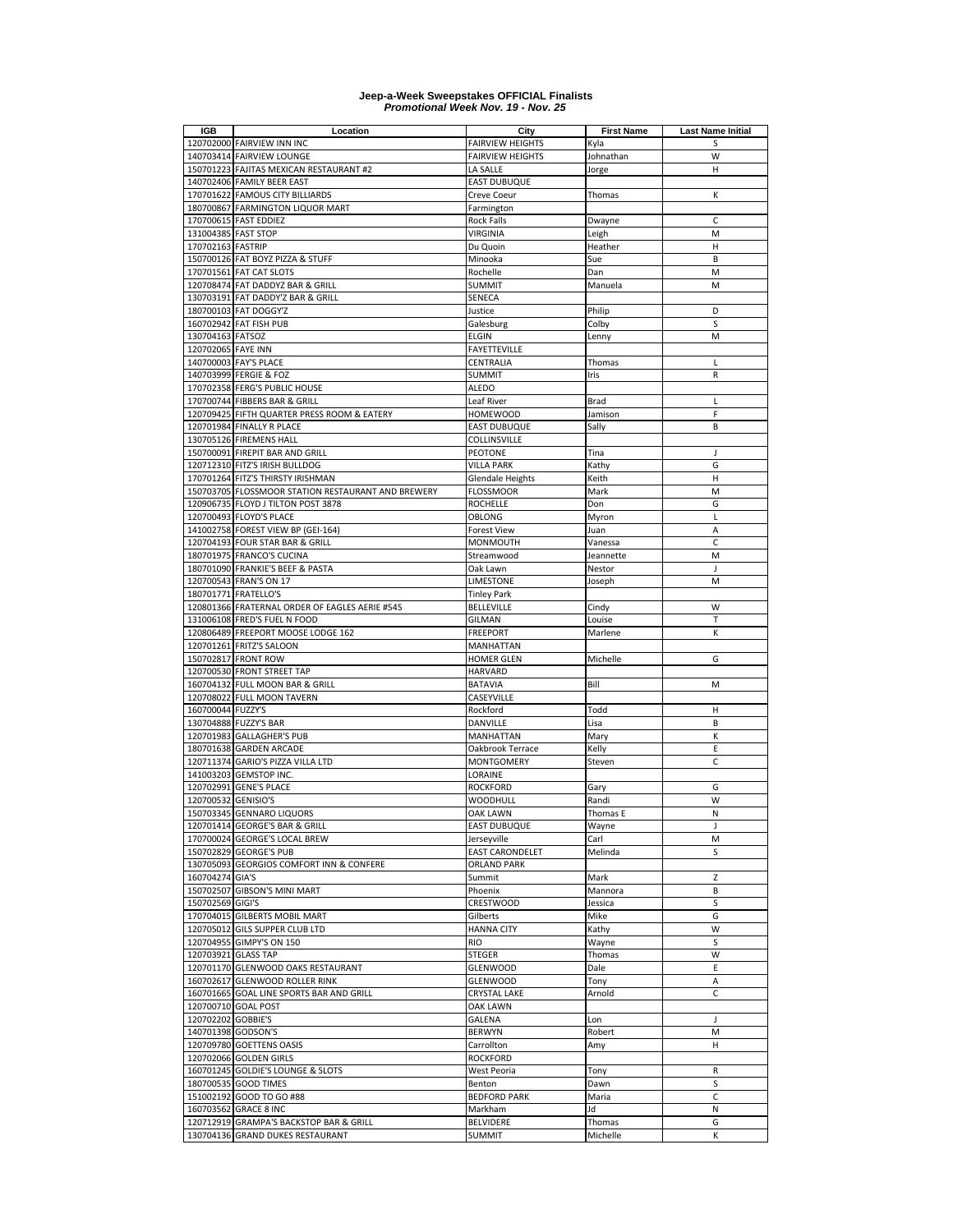| IGB                 | Location                                           | City                    | <b>First Name</b> | <b>Last Name Initial</b> |
|---------------------|----------------------------------------------------|-------------------------|-------------------|--------------------------|
|                     | 120702000 FAIRVIEW INN INC                         | <b>FAIRVIEW HEIGHTS</b> | Kyla              | S                        |
|                     | 140703414 FAIRVIEW LOUNGE                          | <b>FAIRVIEW HEIGHTS</b> | Johnathan         | W                        |
|                     | 150701223 FAJITAS MEXICAN RESTAURANT #2            | LA SALLE                | Jorge             | н                        |
|                     | 140702406 FAMILY BEER EAST                         | <b>EAST DUBUQUE</b>     |                   |                          |
|                     | 170701622 FAMOUS CITY BILLIARDS                    | Creve Coeur             | Thomas            | К                        |
|                     | 180700867 FARMINGTON LIQUOR MART                   | Farmington              |                   |                          |
|                     | 170700615 FAST EDDIEZ                              | <b>Rock Falls</b>       | Dwayne            | C                        |
| 131004385 FAST STOP |                                                    | VIRGINIA                | Leigh             | M                        |
| 170702163 FASTRIP   |                                                    | Du Quoin                |                   | H                        |
|                     |                                                    |                         | Heather           | B                        |
|                     | 150700126 FAT BOYZ PIZZA & STUFF                   | Minooka                 | Sue               |                          |
|                     | 170701561 FAT CAT SLOTS                            | Rochelle                | Dan               | M                        |
|                     | 120708474 FAT DADDYZ BAR & GRILL                   | <b>SUMMIT</b>           | Manuela           | M                        |
|                     | 130703191 FAT DADDY'Z BAR & GRILL                  | SENECA                  |                   |                          |
|                     | 180700103 FAT DOGGY'Z                              | Justice                 | Philip            | D                        |
|                     | 160702942 FAT FISH PUB                             | Galesburg               | Colby             | S                        |
| 130704163 FATSOZ    |                                                    | <b>ELGIN</b>            | Lenny             | M                        |
| 120702065 FAYE INN  |                                                    | <b>FAYETTEVILLE</b>     |                   |                          |
|                     | 140700003 FAY'S PLACE                              | CENTRALIA               | Thomas            | L                        |
|                     | 140703999 FERGIE & FOZ                             | <b>SUMMIT</b>           | Iris              | R                        |
|                     | 170702358 FERG'S PUBLIC HOUSE                      | <b>ALEDO</b>            |                   |                          |
|                     | 170700744 FIBBERS BAR & GRILL                      | Leaf River              | Brad              | L                        |
|                     | 120709425 FIFTH QUARTER PRESS ROOM & EATERY        | <b>HOMEWOOD</b>         | Jamison           | F                        |
|                     | 120701984 FINALLY R PLACE                          | <b>EAST DUBUQUE</b>     | Sally             | B                        |
|                     | 130705126 FIREMENS HALL                            | COLLINSVILLE            |                   |                          |
|                     |                                                    |                         |                   |                          |
|                     | 150700091 FIREPIT BAR AND GRILL                    | PEOTONE                 | Tina              | J                        |
|                     | 120712310 FITZ'S IRISH BULLDOG                     | <b>VILLA PARK</b>       | Kathy             | G                        |
|                     | 170701264 FITZ'S THIRSTY IRISHMAN                  | <b>Glendale Heights</b> | Keith             | Н                        |
|                     | 150703705 FLOSSMOOR STATION RESTAURANT AND BREWERY | <b>FLOSSMOOR</b>        | Mark              | M                        |
|                     | 120906735 FLOYD J TILTON POST 3878                 | <b>ROCHELLE</b>         | Don               | G                        |
|                     | 120700493 FLOYD'S PLACE                            | OBLONG                  | Myron             | Г                        |
|                     | 141002758 FOREST VIEW BP (GEI-164)                 | <b>Forest View</b>      | Juan              | A                        |
|                     | 120704193 FOUR STAR BAR & GRILL                    | MONMOUTH                | Vanessa           | $\mathsf{C}$             |
|                     | 180701975 FRANCO'S CUCINA                          | Streamwood              | Jeannette         | M                        |
|                     | 180701090 FRANKIE'S BEEF & PASTA                   | Oak Lawn                | Nestor            | J                        |
|                     | 120700543 FRAN'S ON 17                             | LIMESTONE               | Joseph            | M                        |
|                     | 180701771 FRATELLO'S                               | <b>Tinley Park</b>      |                   |                          |
|                     | 120801366 FRATERNAL ORDER OF EAGLES AERIE #545     |                         |                   | W                        |
|                     |                                                    | <b>BELLEVILLE</b>       | Cindy             |                          |
|                     | 131006108 FRED'S FUEL N FOOD                       | <b>GILMAN</b>           | Louise            | T                        |
|                     | 120806489 FREEPORT MOOSE LODGE 162                 | <b>FREEPORT</b>         | Marlene           | К                        |
| 120701261           | <b>FRITZ'S SALOON</b>                              | MANHATTAN               |                   |                          |
|                     | 150702817 FRONT ROW                                | <b>HOMER GLEN</b>       | Michelle          | G                        |
|                     | 120700530 FRONT STREET TAP                         | <b>HARVARD</b>          |                   |                          |
|                     | 160704132 FULL MOON BAR & GRILL                    | BATAVIA                 | Bill              | M                        |
|                     | 120708022 FULL MOON TAVERN                         | CASEYVILLE              |                   |                          |
| 160700044 FUZZY'S   |                                                    | Rockford                | Todd              | н                        |
|                     | 130704888 FUZZY'S BAR                              | DANVILLE                | Lisa              | B                        |
|                     | 120701983 GALLAGHER'S PUB                          | MANHATTAN               | Mary              | К                        |
|                     | 180701638 GARDEN ARCADE                            | Oakbrook Terrace        | Kelly             | Ε                        |
|                     | 120711374 GARIO'S PIZZA VILLA LTD                  | MONTGOMERY              | Steven            | C                        |
| 141003203           | <b>GEMSTOP INC.</b>                                | LORAINE                 |                   |                          |
|                     |                                                    |                         |                   |                          |
|                     | 120702991 GENE'S PLACE                             | ROCKFORD                | Gary              | G                        |
| 120700532 GENISIO'S |                                                    | WOODHULL                | Randi             | W                        |
|                     | 150703345 GENNARO LIQUORS                          | OAK LAWN                | Thomas E          | N                        |
|                     | 120701414 GEORGE'S BAR & GRILL                     | <b>EAST DUBUQUE</b>     | Wayne             | J                        |
|                     | 170700024 GEORGE'S LOCAL BREW                      | Jerseyville             | Carl              | M                        |
|                     | 150702829 GEORGE'S PUB                             | <b>EAST CARONDELET</b>  | Melinda           | S                        |
|                     | 130705093 GEORGIOS COMFORT INN & CONFERE           | <b>ORLAND PARK</b>      |                   |                          |
| 160704274 GIA'S     |                                                    | Summit                  | Mark              | Z                        |
|                     | 150702507 GIBSON'S MINI MART                       | Phoenix                 | Mannora           | B                        |
| 150702569 GIGI'S    |                                                    | CRESTWOOD               | Jessica           | S                        |
|                     | 170704015 GILBERTS MOBIL MART                      | Gilberts                | Mike              | G                        |
|                     | 120705012 GILS SUPPER CLUB LTD                     | <b>HANNA CITY</b>       | Kathy             | W                        |
|                     | 120704955 GIMPY'S ON 150                           | <b>RIO</b>              | Wayne             | S                        |
| 120703921 GLASS TAP |                                                    | STEGER                  | Thomas            | W                        |
|                     | 120701170 GLENWOOD OAKS RESTAURANT                 | <b>GLENWOOD</b>         | Dale              | E                        |
|                     | 160702617 GLENWOOD ROLLER RINK                     |                         |                   |                          |
|                     |                                                    | GLENWOOD                | Tony              | Α                        |
|                     | 160701665 GOAL LINE SPORTS BAR AND GRILL           | <b>CRYSTAL LAKE</b>     | Arnold            | C                        |
|                     | 120700710 GOAL POST                                | OAK LAWN                |                   |                          |
| 120702202 GOBBIE'S  |                                                    | GALENA                  | Lon               | J                        |
| 140701398 GODSON'S  |                                                    | <b>BERWYN</b>           | Robert            | М                        |
|                     | 120709780 GOETTENS OASIS                           | Carrollton              | Amy               | н                        |
|                     | 120702066 GOLDEN GIRLS                             | <b>ROCKFORD</b>         |                   |                          |
|                     | 160701245 GOLDIE'S LOUNGE & SLOTS                  | West Peoria             | Tony              | R                        |
|                     | 180700535 GOOD TIMES                               | Benton                  | Dawn              | S                        |
|                     | 151002192 GOOD TO GO #88                           | <b>BEDFORD PARK</b>     | Maria             | С                        |
|                     | 160703562 GRACE 8 INC                              | Markham                 | Jd                | Ν                        |
|                     | 120712919 GRAMPA'S BACKSTOP BAR & GRILL            | BELVIDERE               | Thomas            | G                        |
|                     | 130704136 GRAND DUKES RESTAURANT                   | <b>SUMMIT</b>           | Michelle          | K                        |
|                     |                                                    |                         |                   |                          |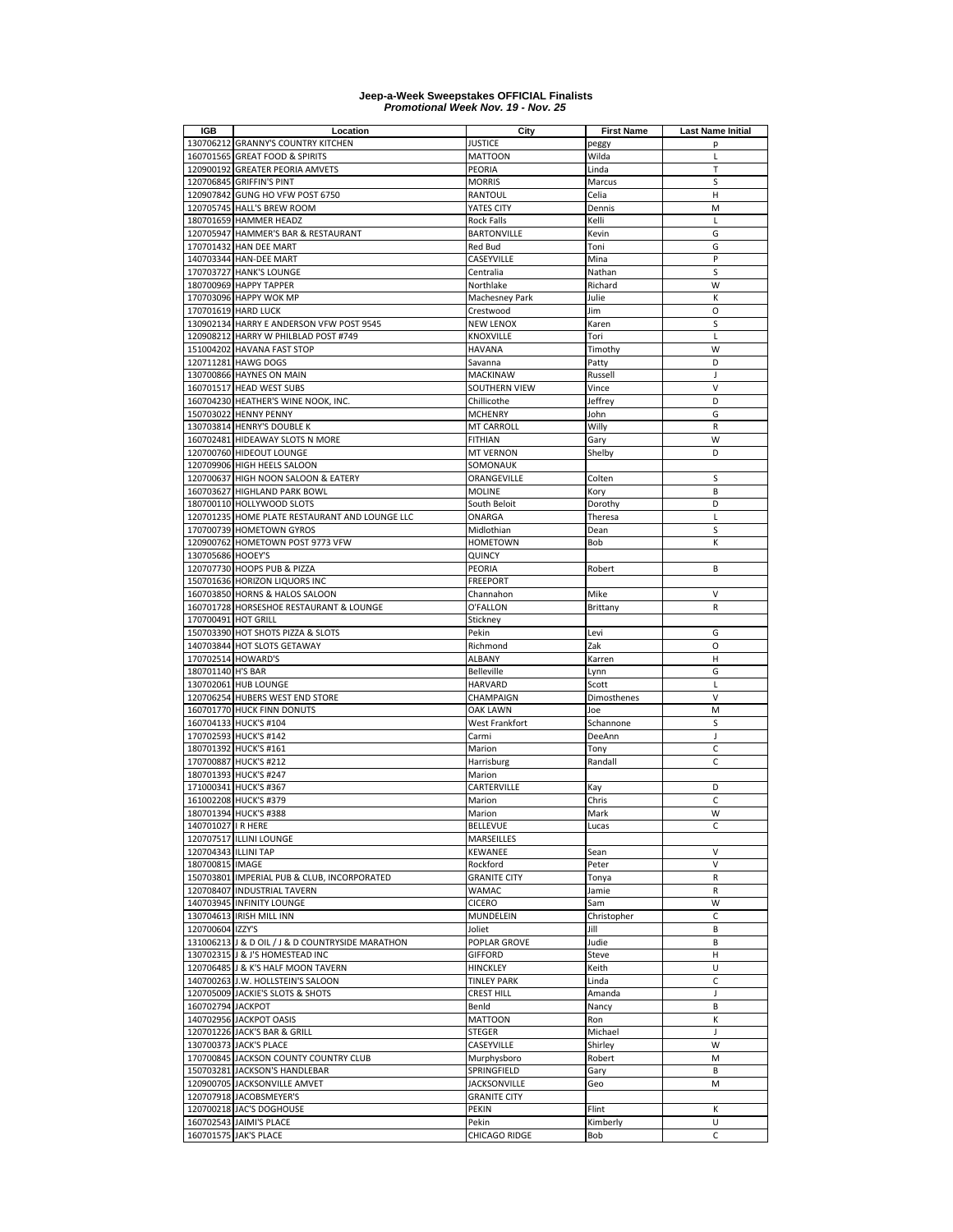| <b>IGB</b>           | Location                                                      | City                          | <b>First Name</b> | <b>Last Name Initial</b> |
|----------------------|---------------------------------------------------------------|-------------------------------|-------------------|--------------------------|
|                      | 130706212 GRANNY'S COUNTRY KITCHEN                            | <b>JUSTICE</b>                | peggy             | р                        |
|                      | 160701565 GREAT FOOD & SPIRITS                                | <b>MATTOON</b>                | Wilda             | L                        |
|                      | 120900192 GREATER PEORIA AMVETS                               | PEORIA                        | Linda             | $\mathsf T$              |
|                      | 120706845 GRIFFIN'S PINT                                      | <b>MORRIS</b>                 | Marcus            | S                        |
|                      | 120907842 GUNG HO VFW POST 6750<br>120705745 HALL'S BREW ROOM | <b>RANTOUL</b><br>YATES CITY  | Celia<br>Dennis   | Н<br>M                   |
|                      | 180701659 HAMMER HEADZ                                        | Rock Falls                    | Kelli             | Г                        |
|                      | 120705947 HAMMER'S BAR & RESTAURANT                           | <b>BARTONVILLE</b>            | Kevin             | G                        |
|                      | 170701432 HAN DEE MART                                        | Red Bud                       | Toni              | G                        |
|                      | 140703344 HAN-DEE MART                                        | CASEYVILLE                    | Mina              | P                        |
|                      | 170703727 HANK'S LOUNGE                                       | Centralia                     | Nathan            | S                        |
|                      | 180700969 HAPPY TAPPER                                        | Northlake                     | Richard           | W                        |
|                      | 170703096 HAPPY WOK MP                                        | Machesney Park                | Julie             | К                        |
|                      | 170701619 HARD LUCK                                           | Crestwood                     | Jim               | O                        |
|                      | 130902134 HARRY E ANDERSON VFW POST 9545                      | NEW LENOX                     | Karen             | S                        |
|                      | 120908212 HARRY W PHILBLAD POST #749                          | KNOXVILLE                     | Tori              | Г                        |
|                      | 151004202 HAVANA FAST STOP                                    | HAVANA                        | Timothy           | W                        |
|                      | 120711281 HAWG DOGS                                           | Savanna                       | Patty             | D                        |
|                      | 130700866 HAYNES ON MAIN                                      | MACKINAW                      | Russell           | J                        |
|                      | 160701517 HEAD WEST SUBS                                      | SOUTHERN VIEW                 | Vince             | $\vee$                   |
|                      | 160704230 HEATHER'S WINE NOOK, INC.                           | Chillicothe                   | Jeffrey           | D                        |
|                      | 150703022 HENNY PENNY                                         | <b>MCHENRY</b>                | John              | G                        |
|                      | 130703814 HENRY'S DOUBLE K                                    | <b>MT CARROLL</b>             | Willy             | R                        |
|                      | 160702481 HIDEAWAY SLOTS N MORE                               | <b>FITHIAN</b>                | Gary              | W                        |
|                      | 120700760 HIDEOUT LOUNGE                                      | <b>MT VERNON</b>              | Shelby            | D                        |
|                      | 120709906 HIGH HEELS SALOON                                   | SOMONAUK                      |                   |                          |
| 120700637            | HIGH NOON SALOON & EATERY                                     | ORANGEVILLE                   | Colten            | S                        |
|                      | 160703627 HIGHLAND PARK BOWL                                  | <b>MOLINE</b>                 | Kory              | B                        |
|                      | 180700110 HOLLYWOOD SLOTS                                     | South Beloit                  | Dorothy           | D                        |
|                      | 120701235 HOME PLATE RESTAURANT AND LOUNGE LLC                | ONARGA                        | Theresa           | Г                        |
|                      | 170700739 HOMETOWN GYROS                                      | Midlothian                    | Dean              | S                        |
| 130705686 HOOEY'S    | 120900762 HOMETOWN POST 9773 VFW                              | <b>HOMETOWN</b><br>QUINCY     | Bob               | К                        |
|                      | 120707730 HOOPS PUB & PIZZA                                   | PEORIA                        | Robert            | B                        |
|                      | 150701636 HORIZON LIQUORS INC                                 | <b>FREEPORT</b>               |                   |                          |
|                      | 160703850 HORNS & HALOS SALOON                                | Channahon                     | Mike              | V                        |
|                      | 160701728 HORSESHOE RESTAURANT & LOUNGE                       | O'FALLON                      | Brittany          | R                        |
| 170700491 HOT GRILL  |                                                               | Stickney                      |                   |                          |
|                      | 150703390 HOT SHOTS PIZZA & SLOTS                             | Pekin                         | Levi              | G                        |
|                      | 140703844 HOT SLOTS GETAWAY                                   | Richmond                      | Zak               | O                        |
|                      | 170702514 HOWARD'S                                            | <b>ALBANY</b>                 | Karren            | Н                        |
| 180701140 H'S BAR    |                                                               | <b>Belleville</b>             | Lynn              | G                        |
|                      | 130702061 HUB LOUNGE                                          | <b>HARVARD</b>                | Scott             | L                        |
|                      | 120706254 HUBERS WEST END STORE                               | CHAMPAIGN                     | Dimosthenes       | $\vee$                   |
|                      | 160701770 HUCK FINN DONUTS                                    | <b>OAK LAWN</b>               | Joe               | M                        |
|                      | 160704133 HUCK'S #104                                         | West Frankfort                | Schannone         | S                        |
|                      | 170702593 HUCK'S #142                                         | Carmi                         | DeeAnn            | J.                       |
|                      | 180701392 HUCK'S #161                                         | Marion                        | Tony              | $\mathsf C$              |
|                      | 170700887 HUCK'S #212                                         | Harrisburg                    | Randall           | C                        |
|                      | 180701393 HUCK'S #247                                         | Marion                        |                   |                          |
|                      | 171000341 HUCK'S #367                                         | CARTERVILLE                   | Kay               | D                        |
|                      | 161002208 HUCK'S #379                                         | Marion                        | Chris             | C                        |
|                      | 180701394 HUCK'S #388                                         | Marion                        | Mark              | W                        |
| 140701027   R HERE   | 120707517 ILLINI LOUNGE                                       | <b>BELLEVUE</b><br>MARSEILLES | Lucas             | С                        |
| 120704343 ILLINI TAP |                                                               | KEWANEE                       | Sean              | V                        |
| 180700815 IMAGE      |                                                               | Rockford                      | Peter             | V                        |
|                      | 150703801 IMPERIAL PUB & CLUB, INCORPORATED                   | <b>GRANITE CITY</b>           | Tonya             | R                        |
|                      | 120708407 INDUSTRIAL TAVERN                                   | WAMAC                         | Jamie             | R                        |
|                      | 140703945 INFINITY LOUNGE                                     | <b>CICERO</b>                 | Sam               | W                        |
|                      | 130704613 IRISH MILL INN                                      | MUNDELEIN                     | Christopher       | C                        |
| 120700604 IZZY'S     |                                                               | Joliet                        | Jill              | В                        |
|                      | 131006213 J & D OIL / J & D COUNTRYSIDE MARATHON              | POPLAR GROVE                  | Judie             | B                        |
|                      | 130702315 J & J'S HOMESTEAD INC                               | <b>GIFFORD</b>                | Steve             | н                        |
|                      | 120706485 J & K'S HALF MOON TAVERN                            | <b>HINCKLEY</b>               | Keith             | U                        |
|                      | 140700263 J.W. HOLLSTEIN'S SALOON                             | <b>TINLEY PARK</b>            | Linda             | C                        |
|                      | 120705009 JACKIE'S SLOTS & SHOTS                              | <b>CREST HILL</b>             | Amanda            | J                        |
| 160702794 JACKPOT    |                                                               | BenId                         | Nancy             | B                        |
|                      | 140702956 JACKPOT OASIS                                       | <b>MATTOON</b>                | Ron               | К                        |
|                      | 120701226 JACK'S BAR & GRILL                                  | <b>STEGER</b>                 | Michael           | J                        |
|                      | 130700373 JACK'S PLACE                                        | CASEYVILLE                    | Shirley           | W                        |
|                      | 170700845 JACKSON COUNTY COUNTRY CLUB                         | Murphysboro                   | Robert            | M                        |
|                      | 150703281 JACKSON'S HANDLEBAR                                 | SPRINGFIELD                   | Gary              | В                        |
|                      | 120900705 JACKSONVILLE AMVET                                  | <b>JACKSONVILLE</b>           | Geo               | M                        |
|                      | 120707918 JACOBSMEYER'S                                       | <b>GRANITE CITY</b>           |                   |                          |
|                      | 120700218 JAC'S DOGHOUSE                                      | PEKIN                         | Flint             | К<br>U                   |
|                      | 160702543 JAIMI'S PLACE<br>160701575 JAK'S PLACE              | Pekin                         | Kimberly<br>Bob   | C                        |
|                      |                                                               | CHICAGO RIDGE                 |                   |                          |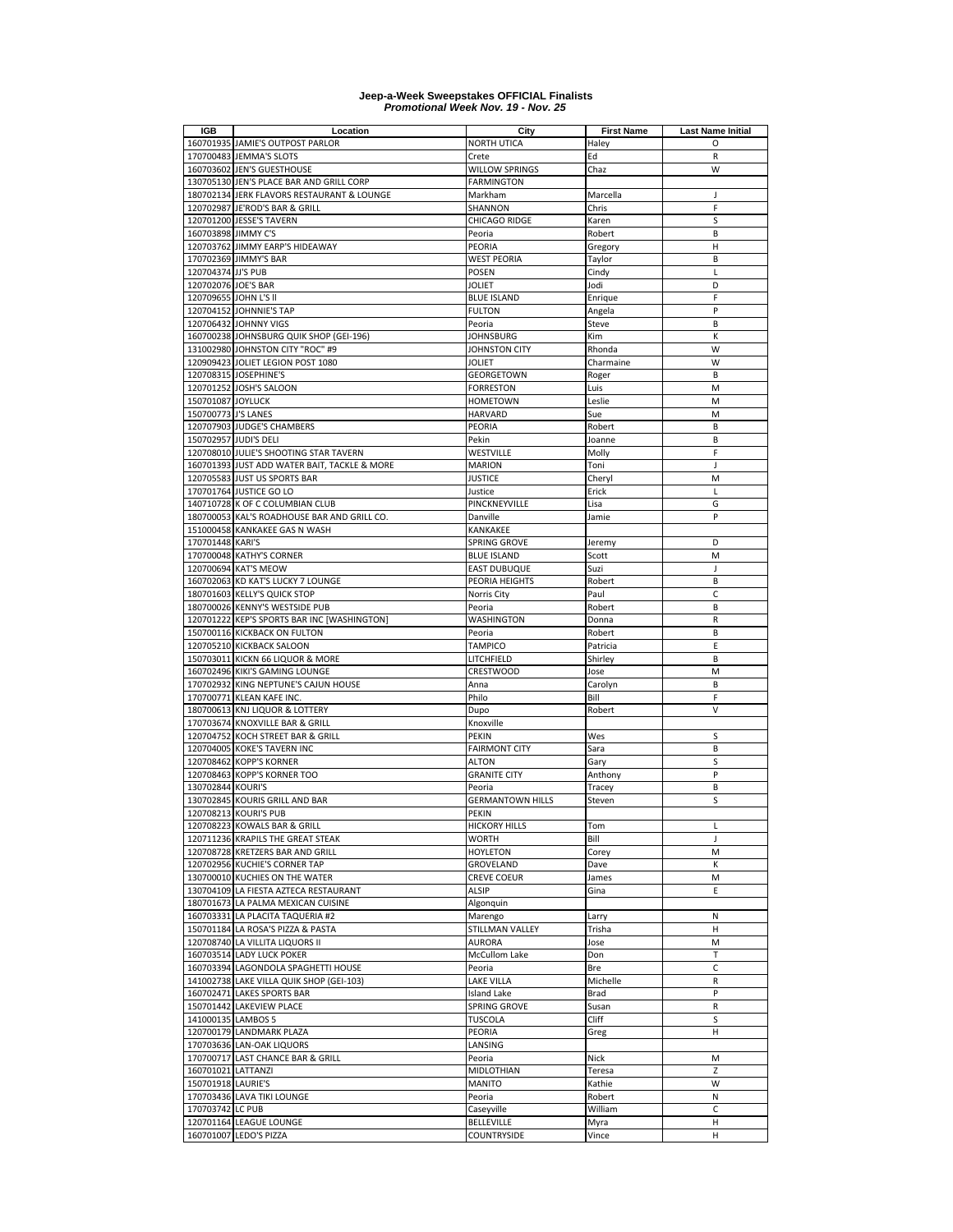| <b>IGB</b>            | Location                                                         | City                         | <b>First Name</b> | <b>Last Name Initial</b> |
|-----------------------|------------------------------------------------------------------|------------------------------|-------------------|--------------------------|
|                       | 160701935 JAMIE'S OUTPOST PARLOR                                 | <b>NORTH UTICA</b>           | Haley             | O                        |
|                       | 170700483 JEMMA'S SLOTS                                          | Crete                        | Ed                | R                        |
|                       | 160703602 JEN'S GUESTHOUSE                                       | <b>WILLOW SPRINGS</b>        | Chaz              | W                        |
|                       | 130705130 JEN'S PLACE BAR AND GRILL CORP                         | <b>FARMINGTON</b>            |                   |                          |
|                       | 180702134 JERK FLAVORS RESTAURANT & LOUNGE                       | Markham                      | Marcella          | J                        |
|                       | 120702987 JE'ROD'S BAR & GRILL                                   | SHANNON                      | Chris             | F                        |
|                       | 120701200 JESSE'S TAVERN                                         | <b>CHICAGO RIDGE</b>         | Karen             | S                        |
| 160703898 JIMMY C'S   |                                                                  | Peoria                       | Robert            | B                        |
|                       | 120703762 JIMMY EARP'S HIDEAWAY                                  | PEORIA                       | Gregory           | н                        |
|                       | 170702369 JIMMY'S BAR                                            | <b>WEST PEORIA</b>           | Taylor            | B                        |
| 120704374 JJ'S PUB    |                                                                  | <b>POSEN</b>                 | Cindy             | L<br>D                   |
| 120702076 JOE'S BAR   |                                                                  | <b>JOLIET</b>                | Jodi              |                          |
| 120709655 JOHN L'S II | 120704152 JOHNNIE'S TAP                                          | <b>BLUE ISLAND</b>           | Enrique           | F<br>P                   |
|                       |                                                                  | <b>FULTON</b><br>Peoria      | Angela            | B                        |
|                       | 120706432 JOHNNY VIGS<br>160700238 JOHNSBURG QUIK SHOP (GEI-196) | <b>JOHNSBURG</b>             | Steve<br>Kim      | К                        |
|                       | 131002980 JOHNSTON CITY "ROC" #9                                 | JOHNSTON CITY                | Rhonda            | W                        |
|                       | 120909423 JOLIET LEGION POST 1080                                | <b>JOLIET</b>                | Charmaine         | W                        |
|                       | 120708315 JOSEPHINE'S                                            | GEORGETOWN                   | Roger             | B                        |
|                       | 120701252 JOSH'S SALOON                                          | <b>FORRESTON</b>             | Luis              | M                        |
| 150701087 JOYLUCK     |                                                                  | <b>HOMETOWN</b>              | Leslie            | M                        |
| 150700773 J'S LANES   |                                                                  | <b>HARVARD</b>               | Sue               | M                        |
|                       | 120707903 JUDGE'S CHAMBERS                                       | PEORIA                       | Robert            | B                        |
|                       | 150702957 JUDI'S DELI                                            | Pekin                        | Joanne            | B                        |
|                       | 120708010 JULIE'S SHOOTING STAR TAVERN                           | WESTVILLE                    | Molly             | F                        |
|                       | 160701393 JUST ADD WATER BAIT, TACKLE & MORE                     | <b>MARION</b>                | Toni              | J                        |
|                       | 120705583 JUST US SPORTS BAR                                     | <b>JUSTICE</b>               | Cheryl            | M                        |
|                       | 170701764 JUSTICE GO LO                                          | Justice                      | Erick             | L                        |
|                       | 140710728 K OF C COLUMBIAN CLUB                                  | PINCKNEYVILLE                | Lisa              | G                        |
|                       | 180700053 KAL'S ROADHOUSE BAR AND GRILL CO.                      | Danville                     | Jamie             | P                        |
|                       | 151000458 KANKAKEE GAS N WASH                                    | KANKAKEE                     |                   |                          |
| 170701448 KARI'S      |                                                                  | SPRING GROVE                 | Jeremy            | D                        |
|                       | 170700048 KATHY'S CORNER                                         | <b>BLUE ISLAND</b>           | Scott             | M                        |
|                       | 120700694 KAT'S MEOW                                             | <b>EAST DUBUQUE</b>          | Suzi              | J                        |
|                       | 160702063 KD KAT'S LUCKY 7 LOUNGE                                | PEORIA HEIGHTS               | Robert            | B                        |
|                       | 180701603 KELLY'S QUICK STOP                                     | Norris City                  | Paul              | C                        |
|                       | 180700026 KENNY'S WESTSIDE PUB                                   | Peoria                       | Robert            | B                        |
|                       | 120701222 KEP'S SPORTS BAR INC [WASHINGTON]                      | WASHINGTON                   | Donna             | R                        |
|                       | 150700116 KICKBACK ON FULTON                                     | Peoria                       | Robert            | В                        |
|                       | 120705210 KICKBACK SALOON                                        | <b>TAMPICO</b>               | Patricia          | E                        |
|                       | 150703011 KICKN 66 LIQUOR & MORE                                 | LITCHFIELD                   | Shirley           | B                        |
|                       | 160702496 KIKI'S GAMING LOUNGE                                   | <b>CRESTWOOD</b>             | Jose              | M                        |
|                       | 170702932 KING NEPTUNE'S CAJUN HOUSE                             | Anna                         | Carolyn           | B                        |
|                       | 170700771 KLEAN KAFE INC.                                        | Philo                        | Bill              | F                        |
|                       | 180700613 KNJ LIQUOR & LOTTERY                                   | Dupo                         | Robert            | V                        |
|                       | 170703674 KNOXVILLE BAR & GRILL                                  | Knoxville                    |                   |                          |
|                       | 120704752 KOCH STREET BAR & GRILL                                | <b>PEKIN</b>                 | Wes               | S                        |
|                       | 120704005 KOKE'S TAVERN INC                                      | <b>FAIRMONT CITY</b>         | Sara              | B                        |
|                       | 120708462 KOPP'S KORNER                                          | <b>ALTON</b>                 | Gary              | S                        |
|                       | 120708463 KOPP'S KORNER TOO                                      | <b>GRANITE CITY</b>          | Anthony           | P                        |
| 130702844 KOURI'S     |                                                                  | Peoria                       | Tracey            | B                        |
|                       | 130702845 KOURIS GRILL AND BAR                                   | <b>GERMANTOWN HILLS</b>      | Steven            | S                        |
|                       | 120708213 KOURI'S PUB                                            | PEKIN                        |                   |                          |
|                       | 120708223 KOWALS BAR & GRILL                                     | <b>HICKORY HILLS</b>         | Tom               | Г                        |
|                       | 120711236 KRAPILS THE GREAT STEAK                                | <b>WORTH</b>                 | Bill              | J                        |
|                       | 120708728 KRETZERS BAR AND GRILL                                 | <b>HOYLETON</b><br>GROVELAND | Corey             | M                        |
|                       | 120702956 KUCHIE'S CORNER TAP<br>130700010 KUCHIES ON THE WATER  |                              | Dave              | Κ<br>M                   |
|                       | 130704109 LA FIESTA AZTECA RESTAURANT                            | <b>CREVE COEUR</b><br>ALSIP  | James<br>Gina     | Е                        |
|                       | 180701673 LA PALMA MEXICAN CUISINE                               | Algonquin                    |                   |                          |
|                       | 160703331 LA PLACITA TAQUERIA #2                                 |                              |                   |                          |
|                       | 150701184 LA ROSA'S PIZZA & PASTA                                | Marengo<br>STILLMAN VALLEY   | Larry<br>Trisha   | Ν<br>н                   |
|                       | 120708740 LA VILLITA LIQUORS II                                  | <b>AURORA</b>                | Jose              | М                        |
|                       | 160703514 LADY LUCK POKER                                        | <b>McCullom Lake</b>         | Don               | т                        |
|                       | 160703394 LAGONDOLA SPAGHETTI HOUSE                              | Peoria                       | Bre               | C                        |
|                       | 141002738 LAKE VILLA QUIK SHOP (GEI-103)                         | <b>LAKE VILLA</b>            | Michelle          | R                        |
|                       | 160702471 LAKES SPORTS BAR                                       | Island Lake                  | Brad              | P                        |
|                       | 150701442 LAKEVIEW PLACE                                         | SPRING GROVE                 | Susan             | R                        |
| 141000135 LAMBOS 5    |                                                                  | <b>TUSCOLA</b>               | Cliff             | S                        |
|                       | 120700179 LANDMARK PLAZA                                         | PEORIA                       | Greg              | н                        |
|                       | 170703636 LAN-OAK LIQUORS                                        | LANSING                      |                   |                          |
|                       | 170700717 LAST CHANCE BAR & GRILL                                | Peoria                       | Nick              | M                        |
| 160701021 LATTANZI    |                                                                  | MIDLOTHIAN                   | Teresa            | Z                        |
| 150701918 LAURIE'S    |                                                                  | <b>MANITO</b>                | Kathie            | W                        |
|                       | 170703436 LAVA TIKI LOUNGE                                       | Peoria                       | Robert            | N                        |
| 170703742 LC PUB      |                                                                  | Caseyville                   | William           | C                        |
|                       | 120701164 LEAGUE LOUNGE                                          | BELLEVILLE                   | Myra              | н                        |
|                       | 160701007 LEDO'S PIZZA                                           | COUNTRYSIDE                  | Vince             | н                        |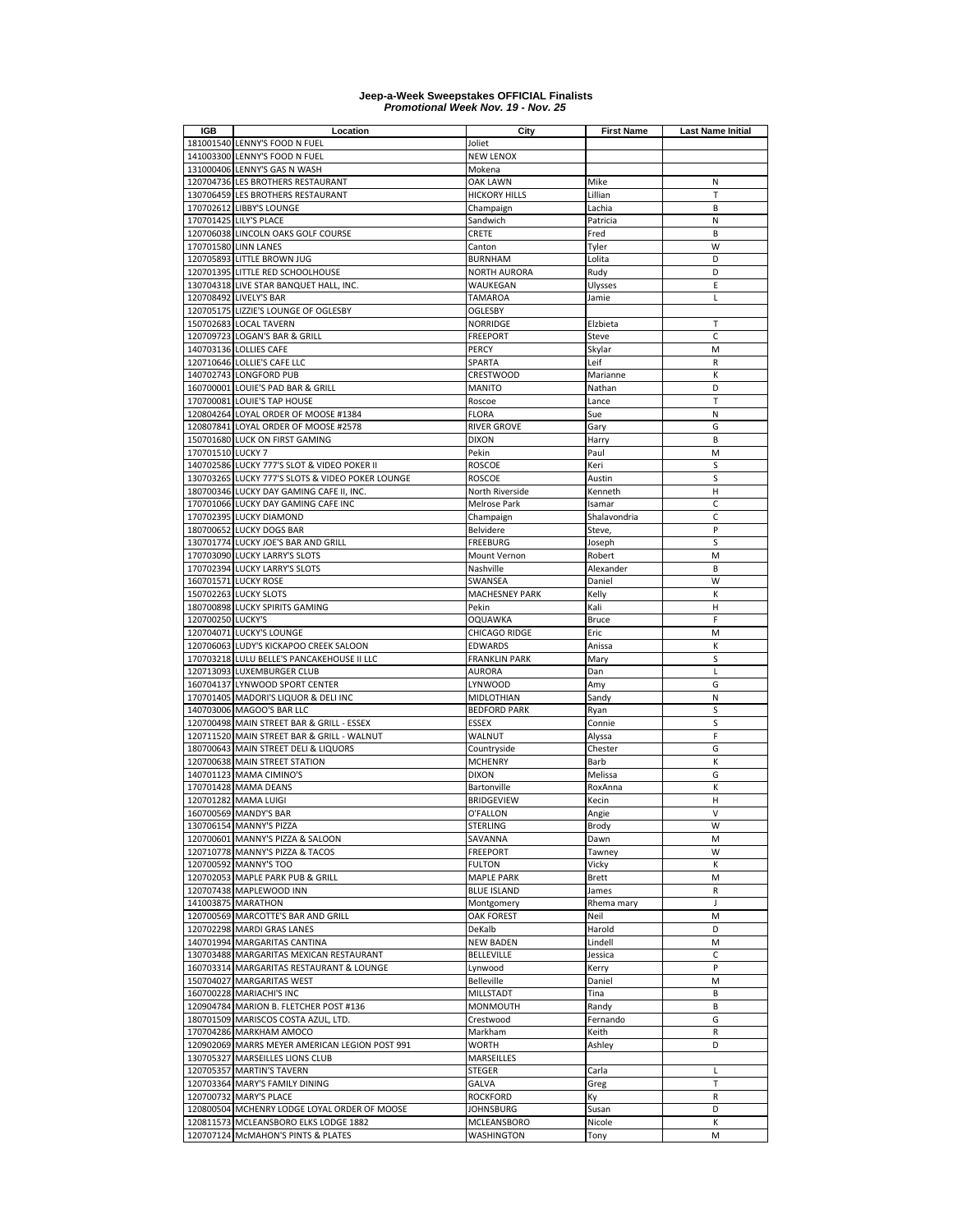| <b>IGB</b>        | Location                                                               | City                                    | <b>First Name</b>     | <b>Last Name Initial</b> |
|-------------------|------------------------------------------------------------------------|-----------------------------------------|-----------------------|--------------------------|
|                   | 181001540 LENNY'S FOOD N FUEL                                          | Joliet                                  |                       |                          |
|                   | 141003300 LENNY'S FOOD N FUEL                                          | <b>NEW LENOX</b>                        |                       |                          |
|                   | 131000406 LENNY'S GAS N WASH                                           | Mokena                                  |                       |                          |
|                   | 120704736 LES BROTHERS RESTAURANT<br>130706459 LES BROTHERS RESTAURANT | <b>OAK LAWN</b><br><b>HICKORY HILLS</b> | Mike<br>Lillian       | N<br>T                   |
|                   | 170702612 LIBBY'S LOUNGE                                               | Champaign                               | Lachia                | B                        |
|                   | 170701425 LILY'S PLACE                                                 | Sandwich                                | Patricia              | N                        |
|                   | 120706038 LINCOLN OAKS GOLF COURSE                                     | CRETE                                   | Fred                  | B                        |
|                   | 170701580 LINN LANES                                                   | Canton                                  | Tyler                 | W                        |
|                   | 120705893 LITTLE BROWN JUG                                             | <b>BURNHAM</b>                          | Lolita                | D                        |
|                   | 120701395 LITTLE RED SCHOOLHOUSE                                       | NORTH AURORA                            | Rudy                  | D                        |
|                   | 130704318 LIVE STAR BANQUET HALL, INC.                                 | WAUKEGAN                                | Ulysses               | E                        |
|                   | 120708492 LIVELY'S BAR                                                 | TAMAROA                                 | Jamie                 | Г                        |
|                   | 120705175 LIZZIE'S LOUNGE OF OGLESBY                                   | OGLESBY                                 |                       |                          |
|                   | 150702683 LOCAL TAVERN                                                 | NORRIDGE                                | Elzbieta              | Т                        |
|                   | 120709723 LOGAN'S BAR & GRILL                                          | FREEPORT                                | Steve                 | C                        |
|                   | 140703136 LOLLIES CAFE                                                 | PERCY                                   | Skylar                | M                        |
|                   | 120710646 LOLLIE'S CAFE LLC                                            | SPARTA                                  | Leif                  | R                        |
|                   | 140702743 LONGFORD PUB                                                 | <b>CRESTWOOD</b>                        | Marianne              | К                        |
|                   | 160700001 LOUIE'S PAD BAR & GRILL                                      | <b>MANITO</b>                           | Nathan                | D                        |
|                   | 170700081 LOUIE'S TAP HOUSE                                            | Roscoe                                  | Lance                 | T                        |
|                   | 120804264 LOYAL ORDER OF MOOSE #1384                                   | <b>FLORA</b>                            | Sue                   | N                        |
|                   | 120807841 LOYAL ORDER OF MOOSE #2578                                   | <b>RIVER GROVE</b>                      | Gary                  | G                        |
|                   | 150701680 LUCK ON FIRST GAMING                                         | <b>DIXON</b>                            | Harry                 | B                        |
| 170701510 LUCKY 7 |                                                                        | Pekin                                   | Paul                  | M                        |
|                   | 140702586 LUCKY 777'S SLOT & VIDEO POKER II                            | <b>ROSCOE</b>                           | Keri                  | S                        |
|                   | 130703265 LUCKY 777'S SLOTS & VIDEO POKER LOUNGE                       | <b>ROSCOE</b>                           | Austin                | S                        |
|                   | 180700346 LUCKY DAY GAMING CAFE II, INC.                               | North Riverside                         | Kenneth               | Н                        |
|                   | 170701066 LUCKY DAY GAMING CAFE INC                                    | Melrose Park                            | Isamar                | $\mathsf{C}$             |
|                   | 170702395 LUCKY DIAMOND                                                | Champaign                               | Shalavondria          | C                        |
|                   | 180700652 LUCKY DOGS BAR                                               | Belvidere                               | Steve,                | P                        |
|                   | 130701774 LUCKY JOE'S BAR AND GRILL                                    | FREEBURG                                | Joseph                | S<br>M                   |
|                   | 170703090 LUCKY LARRY'S SLOTS<br>170702394 LUCKY LARRY'S SLOTS         | Mount Vernon<br>Nashville               | Robert<br>Alexander   | B                        |
|                   | 160701571 LUCKY ROSE                                                   | SWANSEA                                 | Daniel                | W                        |
|                   | 150702263 LUCKY SLOTS                                                  | <b>MACHESNEY PARK</b>                   | Kelly                 | K                        |
|                   | 180700898 LUCKY SPIRITS GAMING                                         | Pekin                                   | Kali                  | Н                        |
| 120700250 LUCKY'S |                                                                        | OQUAWKA                                 | <b>Bruce</b>          | F                        |
|                   | 120704071 LUCKY'S LOUNGE                                               | CHICAGO RIDGE                           | Eric                  | M                        |
|                   | 120706063 LUDY'S KICKAPOO CREEK SALOON                                 | <b>EDWARDS</b>                          | Anissa                | К                        |
|                   | 170703218 LULU BELLE'S PANCAKEHOUSE II LLC                             | <b>FRANKLIN PARK</b>                    | Mary                  | S                        |
|                   | 120713093 LUXEMBURGER CLUB                                             | AURORA                                  | Dan                   | L                        |
|                   | 160704137 LYNWOOD SPORT CENTER                                         | LYNWOOD                                 | Amy                   | G                        |
|                   | 170701405 MADORI'S LIQUOR & DELI INC                                   | MIDLOTHIAN                              | Sandy                 | N                        |
|                   | 140703006 MAGOO'S BAR LLC                                              | <b>BEDFORD PARK</b>                     | Ryan                  | S                        |
|                   | 120700498 MAIN STREET BAR & GRILL - ESSEX                              | <b>ESSEX</b>                            | Connie                | S                        |
|                   | 120711520 MAIN STREET BAR & GRILL - WALNUT                             | WALNUT                                  | Alyssa                | F                        |
|                   | 180700643 MAIN STREET DELI & LIQUORS                                   | Countryside                             | Chester               | G                        |
|                   | 120700638 MAIN STREET STATION                                          | <b>MCHENRY</b>                          | Barb                  | К                        |
|                   | 140701123 MAMA CIMINO'S                                                | <b>DIXON</b>                            | Melissa               | G                        |
|                   | 170701428 MAMA DEANS                                                   | Bartonville                             | RoxAnna               | К                        |
|                   | 120701282 MAMA LUIGI                                                   | <b>BRIDGEVIEW</b>                       | Kecin                 | Н                        |
|                   | 160700569 MANDY'S BAR                                                  | O'FALLON                                | Angie                 | $\vee$                   |
|                   | 130706154 MANNY'S PIZZA                                                | STERLING                                | Brody                 | W                        |
|                   | 120700601 MANNY'S PIZZA & SALOON                                       | SAVANNA                                 | Dawn                  | M                        |
|                   | 120710778 MANNY'S PIZZA & TACOS<br>120700592 MANNY'S TOO               | <b>FREEPORT</b>                         | Tawney                | W                        |
|                   | 120702053 MAPLE PARK PUB & GRILL                                       | <b>FULTON</b><br><b>MAPLE PARK</b>      | Vicky<br><b>Brett</b> | К<br>M                   |
|                   | 120707438 MAPLEWOOD INN                                                | <b>BLUE ISLAND</b>                      | James                 | R                        |
|                   | 141003875 MARATHON                                                     | Montgomery                              | Rhema mary            | J                        |
|                   | 120700569 MARCOTTE'S BAR AND GRILL                                     | <b>OAK FOREST</b>                       | Neil                  | M                        |
|                   | 120702298 MARDI GRAS LANES                                             | DeKalb                                  | Harold                | D                        |
|                   | 140701994 MARGARITAS CANTINA                                           | <b>NEW BADEN</b>                        | Lindell               | M                        |
|                   | 130703488 MARGARITAS MEXICAN RESTAURANT                                | BELLEVILLE                              | Jessica               | C                        |
|                   | 160703314 MARGARITAS RESTAURANT & LOUNGE                               | Lynwood                                 | Kerry                 | P                        |
|                   | 150704027 MARGARITAS WEST                                              | Belleville                              | Daniel                | M                        |
|                   | 160700228 MARIACHI'S INC                                               | MILLSTADT                               | Tina                  | B                        |
|                   | 120904784 MARION B. FLETCHER POST #136                                 | <b>MONMOUTH</b>                         | Randy                 | B                        |
|                   | 180701509 MARISCOS COSTA AZUL, LTD.                                    | Crestwood                               | Fernando              | G                        |
|                   | 170704286 MARKHAM AMOCO                                                | Markham                                 | Keith                 | R                        |
|                   | 120902069 MARRS MEYER AMERICAN LEGION POST 991                         | WORTH                                   | Ashley                | D                        |
|                   | 130705327 MARSEILLES LIONS CLUB                                        | MARSEILLES                              |                       |                          |
|                   | 120705357 MARTIN'S TAVERN                                              | STEGER                                  | Carla                 | Г                        |
|                   | 120703364 MARY'S FAMILY DINING                                         | <b>GALVA</b>                            | Greg                  | $\mathsf T$              |
|                   | 120700732 MARY'S PLACE                                                 | <b>ROCKFORD</b>                         | Кy                    | R                        |
|                   | 120800504 MCHENRY LODGE LOYAL ORDER OF MOOSE                           | <b>JOHNSBURG</b>                        | Susan                 | D                        |
| 120811573         | MCLEANSBORO ELKS LODGE 1882                                            | MCLEANSBORO                             | Nicole                | К                        |
|                   | 120707124 McMAHON'S PINTS & PLATES                                     | <b>WASHINGTON</b>                       | Tony                  | M                        |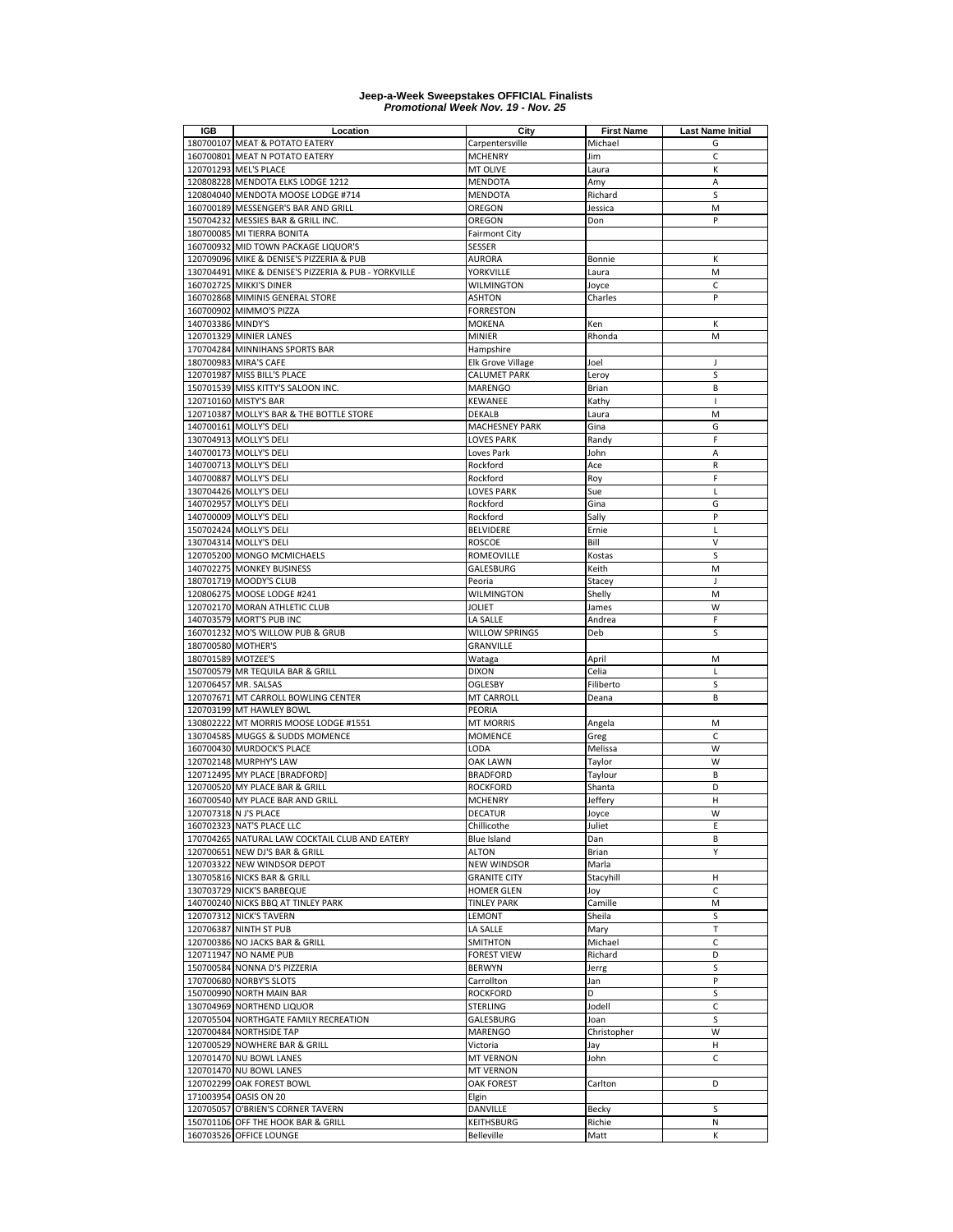| IGB                | Location                                                                    | City                                      | <b>First Name</b> | <b>Last Name Initial</b> |
|--------------------|-----------------------------------------------------------------------------|-------------------------------------------|-------------------|--------------------------|
|                    | 180700107 MEAT & POTATO EATERY                                              | Carpentersville                           | Michael           | G                        |
|                    | 160700801 MEAT N POTATO EATERY                                              | <b>MCHENRY</b>                            | Jim               | C                        |
|                    | 120701293 MEL'S PLACE                                                       | MT OLIVE                                  | Laura             | К                        |
|                    | 120808228 MENDOTA ELKS LODGE 1212                                           | <b>MENDOTA</b>                            | Amy               | A                        |
|                    | 120804040 MENDOTA MOOSE LODGE #714                                          | <b>MENDOTA</b>                            | Richard           | S                        |
|                    | 160700189 MESSENGER'S BAR AND GRILL                                         | OREGON                                    | Jessica           | M                        |
|                    | 150704232 MESSIES BAR & GRILL INC.                                          | OREGON                                    | Don               | P                        |
|                    | 180700085 MI TIERRA BONITA                                                  | <b>Fairmont City</b>                      |                   |                          |
|                    | 160700932 MID TOWN PACKAGE LIQUOR'S                                         | <b>SESSER</b>                             |                   |                          |
|                    | 120709096 MIKE & DENISE'S PIZZERIA & PUB                                    | <b>AURORA</b>                             | Bonnie            | К                        |
|                    | 130704491 MIKE & DENISE'S PIZZERIA & PUB - YORKVILLE                        | YORKVILLE                                 | Laura             | M                        |
|                    | 160702725 MIKKI'S DINER                                                     | <b>WILMINGTON</b>                         | Joyce             | C                        |
|                    | 160702868 MIMINIS GENERAL STORE                                             | <b>ASHTON</b>                             | Charles           | P                        |
|                    | 160700902 MIMMO'S PIZZA                                                     | <b>FORRESTON</b>                          |                   |                          |
| 140703386 MINDY'S  |                                                                             | <b>MOKENA</b>                             | Ken               | К                        |
|                    | 120701329 MINIER LANES                                                      | <b>MINIER</b>                             | Rhonda            | M                        |
|                    | 170704284 MINNIHANS SPORTS BAR                                              | Hampshire                                 |                   |                          |
|                    | 180700983 MIRA'S CAFE                                                       | Elk Grove Village                         | Joel              | J                        |
|                    | 120701987 MISS BILL'S PLACE                                                 | <b>CALUMET PARK</b>                       | Leroy             | S                        |
|                    | 150701539 MISS KITTY'S SALOON INC.                                          | <b>MARENGO</b>                            | Brian             | B                        |
|                    | 120710160 MISTY'S BAR                                                       | KEWANEE                                   | Kathy             | $\mathbf{I}$             |
|                    | 120710387 MOLLY'S BAR & THE BOTTLE STORE                                    | DEKALB                                    | Laura             | M                        |
|                    | 140700161 MOLLY'S DELI                                                      | <b>MACHESNEY PARK</b>                     | Gina              | G                        |
|                    | 130704913 MOLLY'S DELI                                                      | <b>LOVES PARK</b>                         | Randy             | F                        |
|                    | 140700173 MOLLY'S DELI                                                      | Loves Park                                | John              | A                        |
|                    | 140700713 MOLLY'S DELI                                                      | Rockford                                  | Ace               | R                        |
|                    | 140700887 MOLLY'S DELI                                                      | Rockford                                  | Roy               | F                        |
|                    | 130704426 MOLLY'S DELI                                                      | <b>LOVES PARK</b>                         | Sue               | Г                        |
|                    | 140702957 MOLLY'S DELI                                                      | Rockford                                  | Gina              | G                        |
|                    | 140700009 MOLLY'S DELI                                                      | Rockford                                  | Sally             | P                        |
|                    | 150702424 MOLLY'S DELI                                                      | <b>BELVIDERE</b>                          | Ernie             | L                        |
|                    | 130704314 MOLLY'S DELI                                                      | <b>ROSCOE</b>                             | Bill              | $\vee$                   |
|                    | 120705200 MONGO MCMICHAELS                                                  | ROMEOVILLE                                | Kostas            | S                        |
|                    | 140702275 MONKEY BUSINESS                                                   | GALESBURG                                 | Keith             | M                        |
|                    | 180701719 MOODY'S CLUB                                                      | Peoria                                    | Stacey            | J                        |
|                    | 120806275 MOOSE LODGE #241                                                  | <b>WILMINGTON</b>                         | Shelly            | M                        |
|                    | 120702170 MORAN ATHLETIC CLUB                                               | <b>JOLIET</b>                             | James             | W                        |
|                    | 140703579 MORT'S PUB INC                                                    | LA SALLE                                  | Andrea            | F                        |
|                    | 160701232 MO'S WILLOW PUB & GRUB                                            | <b>WILLOW SPRINGS</b>                     | Deb               | S                        |
| 180700580 MOTHER'S |                                                                             | <b>GRANVILLE</b>                          |                   |                          |
| 180701589 MOTZEE'S |                                                                             | Wataga                                    | April             | M                        |
|                    | 150700579 MR TEQUILA BAR & GRILL                                            | <b>DIXON</b>                              | Celia             | Г                        |
|                    | 120706457 MR. SALSAS                                                        | <b>OGLESBY</b>                            | Filiberto         | S                        |
|                    | 120707671 MT CARROLL BOWLING CENTER                                         | MT CARROLL                                | Deana             | B                        |
|                    | 120703199 MT HAWLEY BOWL                                                    | PEORIA                                    |                   |                          |
|                    | 130802222 MT MORRIS MOOSE LODGE #1551                                       | <b>MT MORRIS</b><br><b>MOMENCE</b>        | Angela            | M                        |
|                    | 130704585 MUGGS & SUDDS MOMENCE                                             |                                           | Greg              | С<br>W                   |
|                    | 160700430 MURDOCK'S PLACE                                                   | LODA                                      | Melissa           |                          |
|                    | 120702148 MURPHY'S LAW                                                      | OAK LAWN                                  | Taylor            | W                        |
|                    | 120712495 MY PLACE [BRADFORD]                                               | <b>BRADFORD</b>                           | Taylour           | B                        |
|                    | 120700520 MY PLACE BAR & GRILL                                              | <b>ROCKFORD</b>                           | Shanta            | D                        |
|                    | 160700540 MY PLACE BAR AND GRILL                                            | MCHENRY                                   | Jeffery           | н                        |
|                    | 120707318 N J'S PLACE                                                       | <b>DECATUR</b>                            | Joyce             | W                        |
|                    | 160702323 NAT'S PLACE LLC<br>170704265 NATURAL LAW COCKTAIL CLUB AND EATERY | Chillicothe                               | Juliet            | Ε<br>B                   |
|                    |                                                                             | Blue Island                               | Dan               |                          |
|                    | 120700651 NEW DJ'S BAR & GRILL                                              | <b>ALTON</b>                              | Brian             | Y                        |
|                    | 120703322 NEW WINDSOR DEPOT<br>130705816 NICKS BAR & GRILL                  | <b>NEW WINDSOR</b><br><b>GRANITE CITY</b> | Marla             |                          |
|                    | 130703729 NICK'S BARBEQUE                                                   |                                           | Stacyhill         | н<br>C                   |
|                    |                                                                             | HOMER GLEN                                | Joy               | M                        |
|                    | 140700240 NICKS BBQ AT TINLEY PARK                                          | <b>TINLEY PARK</b>                        | Camille           |                          |
|                    | 120707312 NICK'S TAVERN                                                     | LEMONT                                    | Sheila            | S                        |
|                    | 120706387 NINTH ST PUB                                                      | LA SALLE                                  | Mary              | Т<br>C                   |
|                    | 120700386 NO JACKS BAR & GRILL                                              | SMITHTON                                  | Michael           |                          |
| 120711947          | <b>NO NAME PUB</b>                                                          | <b>FOREST VIEW</b><br><b>BERWYN</b>       | Richard           | D                        |
|                    | 150700584 NONNA D'S PIZZERIA<br>170700680 NORBY'S SLOTS                     |                                           | Jerrg             | S<br>P                   |
|                    | 150700990 NORTH MAIN BAR                                                    | Carrollton                                | Jan<br>D          |                          |
|                    |                                                                             | <b>ROCKFORD</b><br><b>STERLING</b>        |                   | S<br>C                   |
|                    | 130704969 NORTHEND LIQUOR<br>120705504 NORTHGATE FAMILY RECREATION          | GALESBURG                                 | Jodell<br>Joan    | S                        |
|                    | 120700484 NORTHSIDE TAP                                                     | MARENGO                                   | Christopher       | W                        |
|                    | 120700529 NOWHERE BAR & GRILL                                               |                                           |                   |                          |
|                    | 120701470 NU BOWL LANES                                                     | Victoria<br><b>MT VERNON</b>              | Jay<br>John       | н<br>C                   |
|                    | 120701470 NU BOWL LANES                                                     | <b>MT VERNON</b>                          |                   |                          |
|                    |                                                                             |                                           |                   |                          |
|                    | 120702299 OAK FOREST BOWL                                                   | <b>OAK FOREST</b>                         | Carlton           | D                        |
|                    | 171003954 OASIS ON 20                                                       | Elgin                                     |                   |                          |
|                    | 120705057 O'BRIEN'S CORNER TAVERN                                           | DANVILLE                                  | Becky             | S                        |
|                    | 150701106 OFF THE HOOK BAR & GRILL                                          | <b>KEITHSBURG</b><br>Belleville           | Richie            | Ν<br>К                   |
|                    | 160703526 OFFICE LOUNGE                                                     |                                           | Matt              |                          |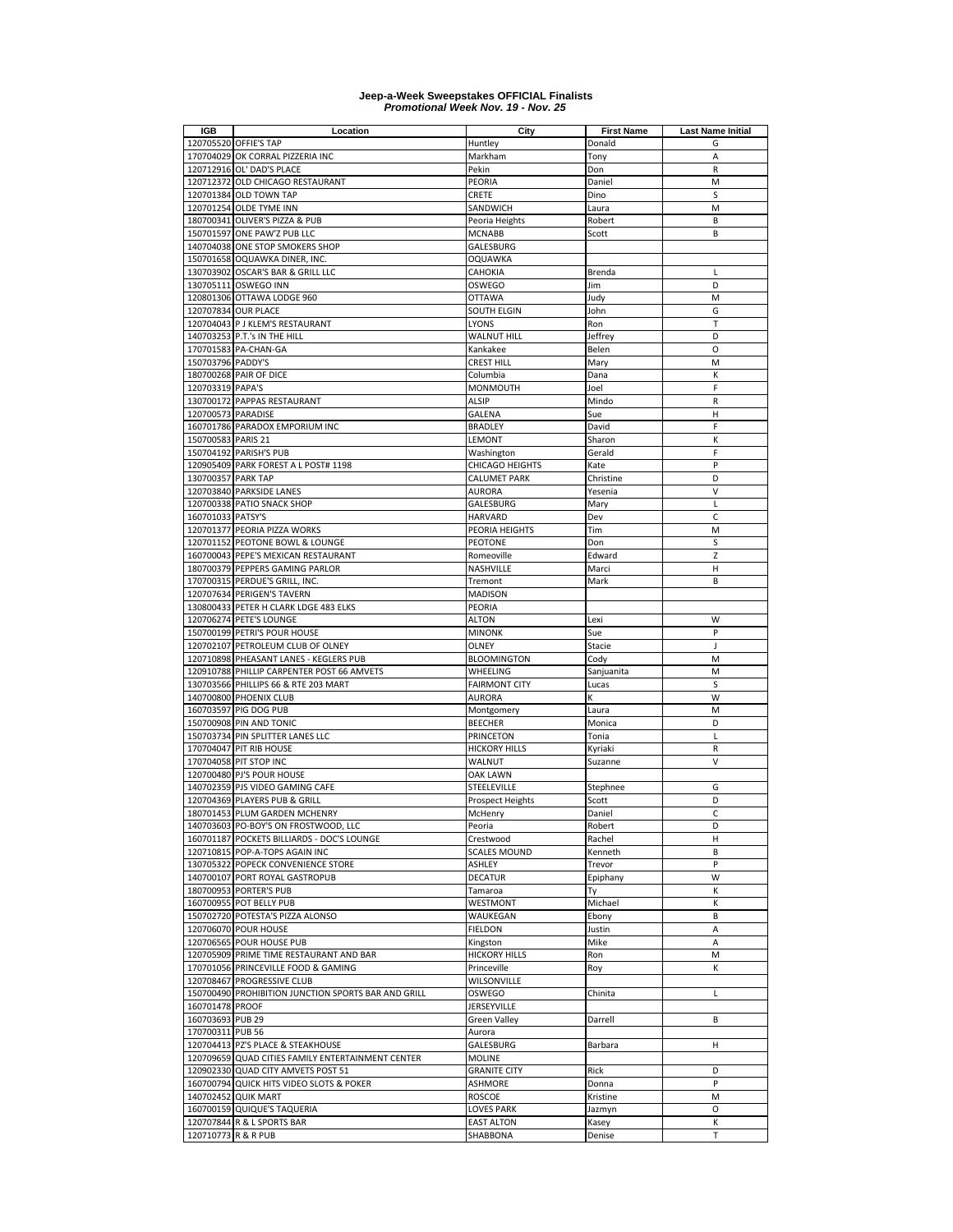| <b>IGB</b>          | Location                                                    | City                            | <b>First Name</b> | <b>Last Name Initial</b> |
|---------------------|-------------------------------------------------------------|---------------------------------|-------------------|--------------------------|
|                     | 120705520 OFFIE'S TAP                                       | Huntley                         | Donald            | G                        |
|                     | 170704029 OK CORRAL PIZZERIA INC                            | Markham                         | Tony              | A                        |
|                     | 120712916 OL' DAD'S PLACE                                   | Pekin                           | Don               | R                        |
|                     | 120712372 OLD CHICAGO RESTAURANT                            | PEORIA                          | Daniel            | M                        |
|                     | 120701384 OLD TOWN TAP                                      | CRETE                           | Dino              | S                        |
|                     | 120701254 OLDE TYME INN<br>180700341 OLIVER'S PIZZA & PUB   | SANDWICH                        | Laura             | M<br>B                   |
|                     | 150701597 ONE PAW'Z PUB LLC                                 | Peoria Heights<br><b>MCNABB</b> | Robert<br>Scott   | B                        |
|                     | 140704038 ONE STOP SMOKERS SHOP                             | GALESBURG                       |                   |                          |
|                     | 150701658 OQUAWKA DINER, INC.                               | <b>OQUAWKA</b>                  |                   |                          |
|                     | 130703902 OSCAR'S BAR & GRILL LLC                           | CAHOKIA                         | Brenda            | L                        |
|                     | 130705111 OSWEGO INN                                        | OSWEGO                          | Jim               | D                        |
|                     | 120801306 OTTAWA LODGE 960                                  | <b>OTTAWA</b>                   | Judy              | M                        |
|                     | 120707834 OUR PLACE                                         | SOUTH ELGIN                     | John              | G                        |
|                     | 120704043 P J KLEM'S RESTAURANT                             | LYONS                           | Ron               | $\mathsf{T}$             |
|                     | 140703253 P.T.'s IN THE HILL                                | <b>WALNUT HILL</b>              | Jeffrey           | D                        |
|                     | 170701583 PA-CHAN-GA                                        | Kankakee                        | Belen             | $\circ$                  |
| 150703796 PADDY'S   |                                                             | CREST HILL                      | Mary              | M                        |
|                     | 180700268 PAIR OF DICE                                      | Columbia                        | Dana              | К                        |
| 120703319 PAPA'S    |                                                             | MONMOUTH                        | Joel              | F                        |
|                     | 130700172 PAPPAS RESTAURANT                                 | <b>ALSIP</b>                    | Mindo             | R                        |
| 120700573 PARADISE  |                                                             | <b>GALENA</b>                   | Sue               | н                        |
|                     | 160701786 PARADOX EMPORIUM INC                              | <b>BRADLEY</b>                  | David             | F                        |
| 150700583 PARIS 21  |                                                             | LEMONT                          | Sharon            | К                        |
|                     | 150704192 PARISH'S PUB                                      | Washington                      | Gerald            | F                        |
|                     | 120905409 PARK FOREST A L POST# 1198                        | CHICAGO HEIGHTS                 | Kate              | P                        |
| 130700357 PARK TAP  |                                                             | CALUMET PARK                    | Christine         | D                        |
|                     | 120703840 PARKSIDE LANES                                    | AURORA                          | Yesenia           | V                        |
|                     | 120700338 PATIO SNACK SHOP                                  | GALESBURG                       | Mary              | Г                        |
| 160701033 PATSY'S   |                                                             | HARVARD                         | Dev               | $\mathsf{C}$             |
|                     | 120701377 PEORIA PIZZA WORKS                                | PEORIA HEIGHTS                  | Tim               | M                        |
|                     | 120701152 PEOTONE BOWL & LOUNGE                             | <b>PEOTONE</b>                  | Don               | S                        |
|                     | 160700043 PEPE'S MEXICAN RESTAURANT                         | Romeoville                      | Edward            | Z                        |
|                     | 180700379 PEPPERS GAMING PARLOR                             | NASHVILLE                       | Marci             | Н                        |
|                     | 170700315 PERDUE'S GRILL, INC.                              | Tremont                         | Mark              | B                        |
|                     | 120707634 PERIGEN'S TAVERN                                  | <b>MADISON</b>                  |                   |                          |
|                     | 130800433 PETER H CLARK LDGE 483 ELKS                       | PEORIA                          |                   |                          |
|                     | 120706274 PETE'S LOUNGE                                     | <b>ALTON</b>                    | Lexi              | W                        |
|                     | 150700199 PETRI'S POUR HOUSE                                | <b>MINONK</b>                   | Sue               | P                        |
|                     | 120702107 PETROLEUM CLUB OF OLNEY                           | OLNEY                           | Stacie            | J                        |
|                     | 120710898 PHEASANT LANES - KEGLERS PUB                      | <b>BLOOMINGTON</b>              | Cody              | M                        |
|                     | 120910788 PHILLIP CARPENTER POST 66 AMVETS                  | WHEELING                        | Sanjuanita        | M                        |
|                     | 130703566 PHILLIPS 66 & RTE 203 MART                        | <b>FAIRMONT CITY</b>            | Lucas             | S                        |
|                     | 140700800 PHOENIX CLUB                                      | <b>AURORA</b>                   | K                 | W                        |
|                     | 160703597 PIG DOG PUB                                       | Montgomery                      | Laura             | M                        |
|                     | 150700908 PIN AND TONIC                                     | <b>BEECHER</b>                  | Monica            | D                        |
|                     | 150703734 PIN SPLITTER LANES LLC                            | PRINCETON                       | Tonia             | Г                        |
|                     | 170704047 PIT RIB HOUSE                                     | HICKORY HILLS                   | Kyriaki           | R                        |
|                     | 170704058 PIT STOP INC                                      | WALNUT                          | Suzanne           | V                        |
|                     | 120700480 PJ'S POUR HOUSE                                   | OAK LAWN                        |                   |                          |
|                     | 140702359 PJS VIDEO GAMING CAFE                             | STEELEVILLE                     | Stephnee          | G                        |
|                     | 120704369 PLAYERS PUB & GRILL                               | <b>Prospect Heights</b>         | Scott             | D                        |
|                     | 180701453 PLUM GARDEN MCHENRY                               | McHenry                         | Daniel            | C                        |
|                     | 140703603 PO-BOY'S ON FROSTWOOD, LLC                        | Peoria                          | Robert            | D                        |
|                     | 160701187 POCKETS BILLIARDS - DOC'S LOUNGE                  | Crestwood                       | Rachel            | н                        |
|                     | 120710815 POP-A-TOPS AGAIN INC                              | <b>SCALES MOUND</b>             | Kenneth           | B                        |
|                     | 130705322 POPECK CONVENIENCE STORE                          | ASHLEY                          | Trevor            | P                        |
|                     | 140700107 PORT ROYAL GASTROPUB                              | <b>DECATUR</b>                  | Epiphany          | W                        |
|                     | 180700953 PORTER'S PUB                                      | Tamaroa                         | Ту                | К                        |
|                     | 160700955 POT BELLY PUB<br>150702720 POTESTA'S PIZZA ALONSO | <b>WESTMONT</b>                 | Michael           | K<br>B                   |
|                     |                                                             | WAUKEGAN                        | Ebony             |                          |
|                     | 120706070 POUR HOUSE<br>120706565 POUR HOUSE PUB            | <b>FIELDON</b>                  | Justin<br>Mike    | А<br>A                   |
|                     | 120705909 PRIME TIME RESTAURANT AND BAR                     | Kingston<br>HICKORY HILLS       | Ron               | M                        |
|                     | 170701056 PRINCEVILLE FOOD & GAMING                         | Princeville                     | Roy               | К                        |
|                     | 120708467 PROGRESSIVE CLUB                                  | WILSONVILLE                     |                   |                          |
|                     | 150700490 PROHIBITION JUNCTION SPORTS BAR AND GRILL         | OSWEGO                          | Chinita           | Г                        |
| 160701478 PROOF     |                                                             | JERSEYVILLE                     |                   |                          |
| 160703693 PUB 29    |                                                             | Green Valley                    | Darrell           | B                        |
| 170700311 PUB 56    |                                                             | Aurora                          |                   |                          |
|                     | 120704413 PZ'S PLACE & STEAKHOUSE                           | GALESBURG                       | Barbara           | н                        |
|                     | 120709659 QUAD CITIES FAMILY ENTERTAINMENT CENTER           | <b>MOLINE</b>                   |                   |                          |
|                     | 120902330 QUAD CITY AMVETS POST 51                          | GRANITE CITY                    | Rick              | D                        |
|                     | 160700794 QUICK HITS VIDEO SLOTS & POKER                    | ASHMORE                         | Donna             | P                        |
|                     | 140702452 QUIK MART                                         | ROSCOE                          | Kristine          | М                        |
|                     | 160700159 QUIQUE'S TAQUERIA                                 | LOVES PARK                      | Jazmyn            | O                        |
| 120707844           | R & L SPORTS BAR                                            | <b>EAST ALTON</b>               | Kasey             | Κ                        |
| 120710773 R & R PUB |                                                             | SHABBONA                        | Denise            | т                        |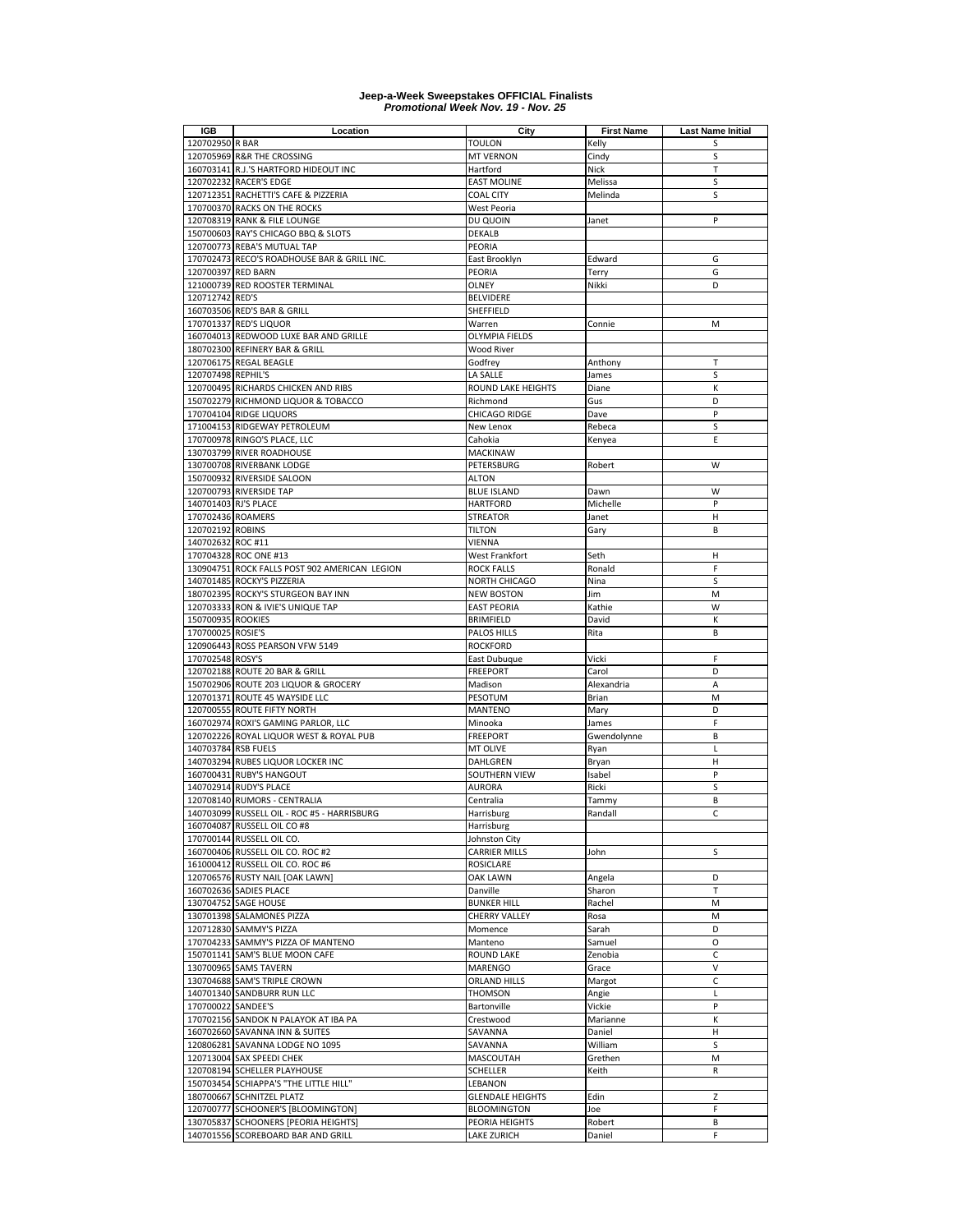| <b>IGB</b>           | Location                                      | City                    | <b>First Name</b> | <b>Last Name Initial</b> |
|----------------------|-----------------------------------------------|-------------------------|-------------------|--------------------------|
| 120702950 R BAR      |                                               | <b>TOULON</b>           | Kelly             | S                        |
|                      | 120705969 R&R THE CROSSING                    | <b>MT VERNON</b>        | Cindy             | S                        |
|                      | 160703141 R.J.'S HARTFORD HIDEOUT INC         | Hartford                | Nick              | T                        |
|                      | 120702232 RACER'S EDGE                        | <b>EAST MOLINE</b>      | Melissa           | S                        |
|                      | 120712351 RACHETTI'S CAFE & PIZZERIA          | <b>COAL CITY</b>        | Melinda           | S                        |
|                      | 170700370 RACKS ON THE ROCKS                  | West Peoria             |                   |                          |
|                      | 120708319 RANK & FILE LOUNGE                  | DU QUOIN                |                   | P                        |
|                      |                                               |                         | Janet             |                          |
|                      | 150700603 RAY'S CHICAGO BBQ & SLOTS           | <b>DEKALB</b>           |                   |                          |
|                      | 120700773 REBA'S MUTUAL TAP                   | PEORIA                  |                   |                          |
|                      | 170702473 RECO'S ROADHOUSE BAR & GRILL INC.   | East Brooklyn           | Edward            | G                        |
| 120700397 RED BARN   |                                               | PEORIA                  | Terry             | G                        |
|                      | 121000739 RED ROOSTER TERMINAL                | OLNEY                   | Nikki             | D                        |
| 120712742 RED'S      |                                               | <b>BELVIDERE</b>        |                   |                          |
|                      | 160703506 RED'S BAR & GRILL                   | SHEFFIELD               |                   |                          |
|                      | 170701337 RED'S LIQUOR                        | Warren                  | Connie            | M                        |
|                      | 160704013 REDWOOD LUXE BAR AND GRILLE         | OLYMPIA FIELDS          |                   |                          |
|                      | 180702300 REFINERY BAR & GRILL                | <b>Wood River</b>       |                   |                          |
|                      | 120706175 REGAL BEAGLE                        | Godfrey                 | Anthony           | Т                        |
| 120707498 REPHIL'S   |                                               | LA SALLE                | James             | S                        |
|                      | 120700495 RICHARDS CHICKEN AND RIBS           | ROUND LAKE HEIGHTS      | Diane             | К                        |
|                      | 150702279 RICHMOND LIQUOR & TOBACCO           | Richmond                | Gus               | D                        |
|                      |                                               |                         |                   |                          |
|                      | 170704104 RIDGE LIQUORS                       | CHICAGO RIDGE           | Dave              | P                        |
|                      | 171004153 RIDGEWAY PETROLEUM                  | New Lenox               | Rebeca            | S                        |
|                      | 170700978 RINGO'S PLACE, LLC                  | Cahokia                 | Kenyea            | E                        |
|                      | 130703799 RIVER ROADHOUSE                     | <b>MACKINAW</b>         |                   |                          |
|                      | 130700708 RIVERBANK LODGE                     | PETERSBURG              | Robert            | W                        |
|                      | 150700932 RIVERSIDE SALOON                    | <b>ALTON</b>            |                   |                          |
|                      | 120700793 RIVERSIDE TAP                       | <b>BLUE ISLAND</b>      | Dawn              | W                        |
| 140701403 RJ'S PLACE |                                               | <b>HARTFORD</b>         | Michelle          | P                        |
| 170702436 ROAMERS    |                                               | <b>STREATOR</b>         | Janet             | Н                        |
| 120702192 ROBINS     |                                               | <b>TILTON</b>           | Gary              | B                        |
| 140702632 ROC #11    |                                               | <b>VIENNA</b>           |                   |                          |
|                      | 170704328 ROC ONE #13                         |                         | Seth              | Н                        |
|                      |                                               | West Frankfort          |                   |                          |
|                      | 130904751 ROCK FALLS POST 902 AMERICAN LEGION | <b>ROCK FALLS</b>       | Ronald            | F                        |
|                      | 140701485 ROCKY'S PIZZERIA                    | NORTH CHICAGO           | Nina              | S                        |
|                      | 180702395 ROCKY'S STURGEON BAY INN            | <b>NEW BOSTON</b>       | Jim               | M                        |
|                      | 120703333 RON & IVIE'S UNIQUE TAP             | <b>EAST PEORIA</b>      | Kathie            | W                        |
| 150700935 ROOKIES    |                                               | <b>BRIMFIELD</b>        | David             | К                        |
| 170700025 ROSIE'S    |                                               | PALOS HILLS             | Rita              | B                        |
|                      | 120906443 ROSS PEARSON VFW 5149               | <b>ROCKFORD</b>         |                   |                          |
| 170702548 ROSY'S     |                                               | East Dubuque            | Vicki             | F                        |
|                      | 120702188 ROUTE 20 BAR & GRILL                | <b>FREEPORT</b>         | Carol             | D                        |
|                      | 150702906 ROUTE 203 LIQUOR & GROCERY          | Madison                 | Alexandria        | A                        |
|                      | 120701371 ROUTE 45 WAYSIDE LLC                | PESOTUM                 | Brian             | M                        |
|                      | 120700555 ROUTE FIFTY NORTH                   | <b>MANTENO</b>          | Mary              | D                        |
|                      | 160702974 ROXI'S GAMING PARLOR, LLC           | Minooka                 |                   | F                        |
|                      |                                               |                         | James             |                          |
|                      | 120702226 ROYAL LIQUOR WEST & ROYAL PUB       | <b>FREEPORT</b>         | Gwendolynne       | B                        |
| 140703784 RSB FUELS  |                                               | <b>MT OLIVE</b>         | Ryan              | L                        |
|                      | 140703294 RUBES LIQUOR LOCKER INC             | DAHLGREN                | Bryan             | Н                        |
|                      | 160700431 RUBY'S HANGOUT                      | SOUTHERN VIEW           | Isabel            | P                        |
|                      | 140702914 RUDY'S PLACE                        | <b>AURORA</b>           | Ricki             | S                        |
|                      | 120708140 RUMORS - CENTRALIA                  | Centralia               | Tammy             | B                        |
|                      | 140703099 RUSSELL OIL - ROC #5 - HARRISBURG   | Harrisburg              | Randall           | C                        |
|                      | 160704087 RUSSELL OIL CO #8                   | Harrisburg              |                   |                          |
|                      | 170700144 RUSSELL OIL CO.                     | Johnston City           |                   |                          |
|                      | 160700406 RUSSELL OIL CO. ROC #2              | <b>CARRIER MILLS</b>    | John              | S                        |
|                      | 161000412 RUSSELL OIL CO. ROC #6              | ROSICLARE               |                   |                          |
|                      | 120706576 RUSTY NAIL [OAK LAWN]               | OAK LAWN                | Angela            | D                        |
|                      |                                               |                         |                   | T                        |
|                      | 160702636 SADIES PLACE                        | Danville                | Sharon            |                          |
|                      | 130704752 SAGE HOUSE                          | <b>BUNKER HILL</b>      | Rachel            | М                        |
|                      | 130701398 SALAMONES PIZZA                     | <b>CHERRY VALLEY</b>    | Rosa              | M                        |
|                      | 120712830 SAMMY'S PIZZA                       | Momence                 | Sarah             | D                        |
|                      | 170704233 SAMMY'S PIZZA OF MANTENO            | Manteno                 | Samuel            | O                        |
|                      | 150701141 SAM'S BLUE MOON CAFE                | <b>ROUND LAKE</b>       | Zenobia           | С                        |
|                      | 130700965 SAMS TAVERN                         | MARENGO                 | Grace             | v                        |
|                      | 130704688 SAM'S TRIPLE CROWN                  | <b>ORLAND HILLS</b>     | Margot            | C                        |
|                      | 140701340 SANDBURR RUN LLC                    | <b>THOMSON</b>          | Angie             | Г                        |
| 170700022 SANDEE'S   |                                               | Bartonville             | Vickie            | P                        |
|                      | 170702156 SANDOK N PALAYOK AT IBA PA          | Crestwood               | Marianne          | К                        |
|                      | 160702660 SAVANNA INN & SUITES                | SAVANNA                 | Daniel            | н                        |
|                      | 120806281 SAVANNA LODGE NO 1095               | SAVANNA                 | William           | S                        |
|                      |                                               |                         |                   |                          |
|                      | 120713004 SAX SPEEDI CHEK                     | MASCOUTAH               | Grethen           | M                        |
|                      | 120708194 SCHELLER PLAYHOUSE                  | <b>SCHELLER</b>         | Keith             | R                        |
|                      | 150703454 SCHIAPPA'S "THE LITTLE HILL"        | LEBANON                 |                   |                          |
|                      | 180700667 SCHNITZEL PLATZ                     | <b>GLENDALE HEIGHTS</b> | Edin              | Z                        |
|                      | 120700777 SCHOONER'S [BLOOMINGTON]            | <b>BLOOMINGTON</b>      | Joe               | F                        |
|                      | 130705837 SCHOONERS [PEORIA HEIGHTS]          | PEORIA HEIGHTS          | Robert            | В                        |
|                      | 140701556 SCOREBOARD BAR AND GRILL            | <b>LAKE ZURICH</b>      | Daniel            | F                        |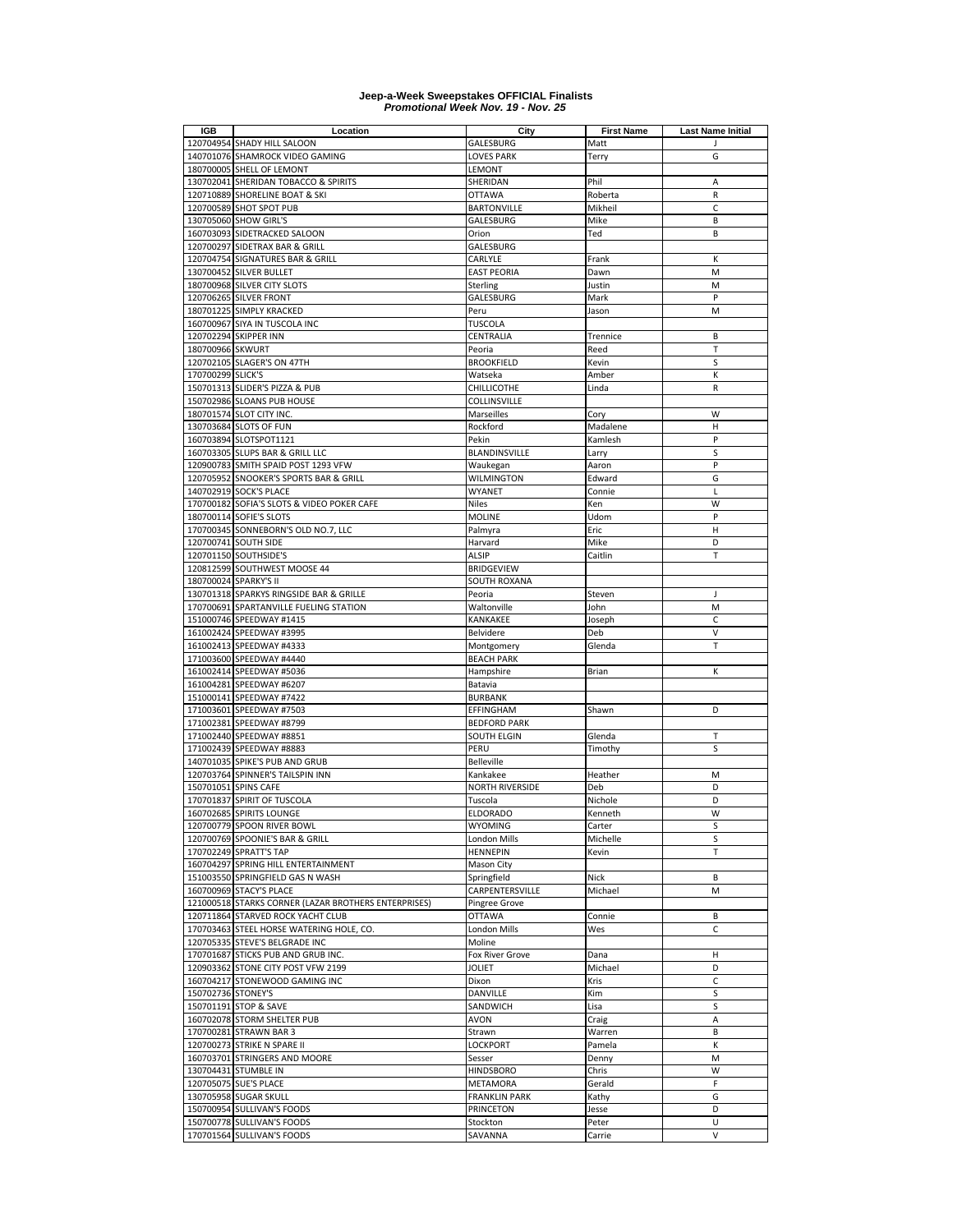| IGB                | Location                                                  | City                            | <b>First Name</b> | <b>Last Name Initial</b> |
|--------------------|-----------------------------------------------------------|---------------------------------|-------------------|--------------------------|
|                    | 120704954 SHADY HILL SALOON                               | GALESBURG                       | Matt              | J                        |
|                    | 140701076 SHAMROCK VIDEO GAMING                           | <b>LOVES PARK</b>               | Terry             | G                        |
|                    | 180700005 SHELL OF LEMONT                                 | LEMONT                          |                   |                          |
|                    | 130702041 SHERIDAN TOBACCO & SPIRITS                      | SHERIDAN                        | Phil              | Α                        |
|                    | 120710889 SHORELINE BOAT & SKI<br>120700589 SHOT SPOT PUB | <b>OTTAWA</b>                   | Roberta           | R<br>C                   |
|                    | 130705060 SHOW GIRL'S                                     | <b>BARTONVILLE</b><br>GALESBURG | Mikheil<br>Mike   | B                        |
|                    | 160703093 SIDETRACKED SALOON                              | Orion                           | Ted               | B                        |
|                    | 120700297 SIDETRAX BAR & GRILL                            | GALESBURG                       |                   |                          |
|                    | 120704754 SIGNATURES BAR & GRILL                          | CARLYLE                         | Frank             | К                        |
|                    | 130700452 SILVER BULLET                                   | <b>EAST PEORIA</b>              | Dawn              | M                        |
|                    | 180700968 SILVER CITY SLOTS                               | Sterling                        | Justin            | M                        |
|                    | 120706265 SILVER FRONT                                    | GALESBURG                       | Mark              | P                        |
|                    | 180701225 SIMPLY KRACKED                                  | Peru                            | Jason             | M                        |
|                    | 160700967 SIYA IN TUSCOLA INC                             | <b>TUSCOLA</b>                  |                   |                          |
|                    | 120702294 SKIPPER INN                                     | CENTRALIA                       | Trennice          | B                        |
| 180700966 SKWURT   |                                                           | Peoria                          | Reed              | T                        |
|                    | 120702105 SLAGER'S ON 47TH                                | <b>BROOKFIELD</b>               | Kevin             | S                        |
| 170700299 SLICK'S  |                                                           | Watseka                         | Amber             | К                        |
|                    | 150701313 SLIDER'S PIZZA & PUB                            | CHILLICOTHE                     | Linda             | R                        |
|                    | 150702986 SLOANS PUB HOUSE                                | COLLINSVILLE                    |                   |                          |
|                    | 180701574 SLOT CITY INC.                                  | Marseilles                      | Cory              | W                        |
|                    | 130703684 SLOTS OF FUN                                    | Rockford                        | Madalene          | н                        |
|                    | 160703894 SLOTSPOT1121                                    | Pekin                           | Kamlesh           | P                        |
|                    | 160703305 SLUPS BAR & GRILL LLC                           | BLANDINSVILLE                   | Larry             | S                        |
|                    | 120900783 SMITH SPAID POST 1293 VFW                       | Waukegan                        | Aaron             | P                        |
|                    | 120705952 SNOOKER'S SPORTS BAR & GRILL                    | <b>WILMINGTON</b>               | Edward            | G                        |
|                    | 140702919 SOCK'S PLACE                                    | WYANET                          | Connie            | L                        |
|                    | 170700182 SOFIA'S SLOTS & VIDEO POKER CAFE                | Niles                           | Ken               | W                        |
|                    | 180700114 SOFIE'S SLOTS                                   | <b>MOLINE</b>                   | Udom              | P                        |
|                    | 170700345 SONNEBORN'S OLD NO.7, LLC                       | Palmyra                         | Eric              | Н                        |
|                    | 120700741 SOUTH SIDE<br>120701150 SOUTHSIDE'S             | Harvard<br><b>ALSIP</b>         | Mike<br>Caitlin   | D<br>T                   |
|                    | 120812599 SOUTHWEST MOOSE 44                              | <b>BRIDGEVIEW</b>               |                   |                          |
|                    | 180700024 SPARKY'S II                                     | SOUTH ROXANA                    |                   |                          |
|                    | 130701318 SPARKYS RINGSIDE BAR & GRILLE                   | Peoria                          | Steven            | J                        |
|                    | 170700691 SPARTANVILLE FUELING STATION                    | Waltonville                     | John              | M                        |
|                    | 151000746 SPEEDWAY #1415                                  | KANKAKEE                        | Joseph            | C                        |
|                    | 161002424 SPEEDWAY #3995                                  | Belvidere                       | Deb               | V                        |
|                    | 161002413 SPEEDWAY #4333                                  | Montgomery                      | Glenda            | T                        |
|                    | 171003600 SPEEDWAY #4440                                  | <b>BEACH PARK</b>               |                   |                          |
|                    | 161002414 SPEEDWAY #5036                                  | Hampshire                       | Brian             | К                        |
|                    | 161004281 SPEEDWAY #6207                                  | Batavia                         |                   |                          |
|                    | 151000141 SPEEDWAY #7422                                  | <b>BURBANK</b>                  |                   |                          |
|                    | 171003601 SPEEDWAY #7503                                  | EFFINGHAM                       | Shawn             | D                        |
|                    | 171002381 SPEEDWAY #8799                                  | <b>BEDFORD PARK</b>             |                   |                          |
|                    | 171002440 SPEEDWAY #8851                                  | <b>SOUTH ELGIN</b>              | Glenda            | Т                        |
|                    | 171002439 SPEEDWAY #8883                                  | PERU                            | Timothy           | S                        |
|                    | 140701035 SPIKE'S PUB AND GRUB                            | Belleville                      |                   |                          |
|                    | 120703764 SPINNER'S TAILSPIN INN                          | Kankakee                        | Heather           | М                        |
|                    | 150701051 SPINS CAFE                                      | <b>NORTH RIVERSIDE</b>          | Deb               | D                        |
|                    | 170701837 SPIRIT OF TUSCOLA                               | Tuscola                         | Nichole           | D                        |
|                    | 160702685 SPIRITS LOUNGE                                  | <b>ELDORADO</b>                 | Kenneth           | W                        |
|                    | 120700779 SPOON RIVER BOWL                                | WYOMING                         | Carter            | S<br>S                   |
|                    | 120700769 SPOONIE'S BAR & GRILL<br>170702249 SPRATT'S TAP | London Mills<br><b>HENNEPIN</b> | Michelle<br>Kevin | T                        |
|                    | 160704297 SPRING HILL ENTERTAINMENT                       | Mason City                      |                   |                          |
|                    | 151003550 SPRINGFIELD GAS N WASH                          | Springfield                     | Nick              | B                        |
|                    | 160700969 STACY'S PLACE                                   | CARPENTERSVILLE                 | Michael           | М                        |
|                    | 121000518 STARKS CORNER (LAZAR BROTHERS ENTERPRISES)      | Pingree Grove                   |                   |                          |
|                    | 120711864 STARVED ROCK YACHT CLUB                         | <b>OTTAWA</b>                   | Connie            | В                        |
|                    | 170703463 STEEL HORSE WATERING HOLE, CO.                  | London Mills                    | Wes               | C                        |
|                    | 120705335 STEVE'S BELGRADE INC                            | Moline                          |                   |                          |
|                    | 170701687 STICKS PUB AND GRUB INC.                        | Fox River Grove                 | Dana              | н                        |
|                    | 120903362 STONE CITY POST VFW 2199                        | <b>JOLIET</b>                   | Michael           | D                        |
|                    | 160704217 STONEWOOD GAMING INC                            | Dixon                           | Kris              | C                        |
| 150702736 STONEY'S |                                                           | DANVILLE                        | Kim               | S                        |
|                    | 150701191 STOP & SAVE                                     | SANDWICH                        | Lisa              | S                        |
|                    | 160702078 STORM SHELTER PUB                               | AVON                            | Craig             | Α                        |
|                    | 170700281 STRAWN BAR 3                                    | Strawn                          | Warren            | В                        |
|                    | 120700273 STRIKE N SPARE II                               | <b>LOCKPORT</b>                 | Pamela            | К                        |
|                    | 160703701 STRINGERS AND MOORE                             | Sesser                          | Denny             | М                        |
|                    | 130704431 STUMBLE IN                                      | <b>HINDSBORO</b>                | Chris             | W                        |
|                    | 120705075 SUE'S PLACE                                     | METAMORA                        | Gerald            | F                        |
|                    | 130705958 SUGAR SKULL                                     | <b>FRANKLIN PARK</b>            | Kathy             | G                        |
|                    | 150700954 SULLIVAN'S FOODS                                | PRINCETON                       | Jesse             | D                        |
|                    | 150700778 SULLIVAN'S FOODS                                | Stockton                        | Peter             | U                        |
|                    | 170701564 SULLIVAN'S FOODS                                | SAVANNA                         | Carrie            | V                        |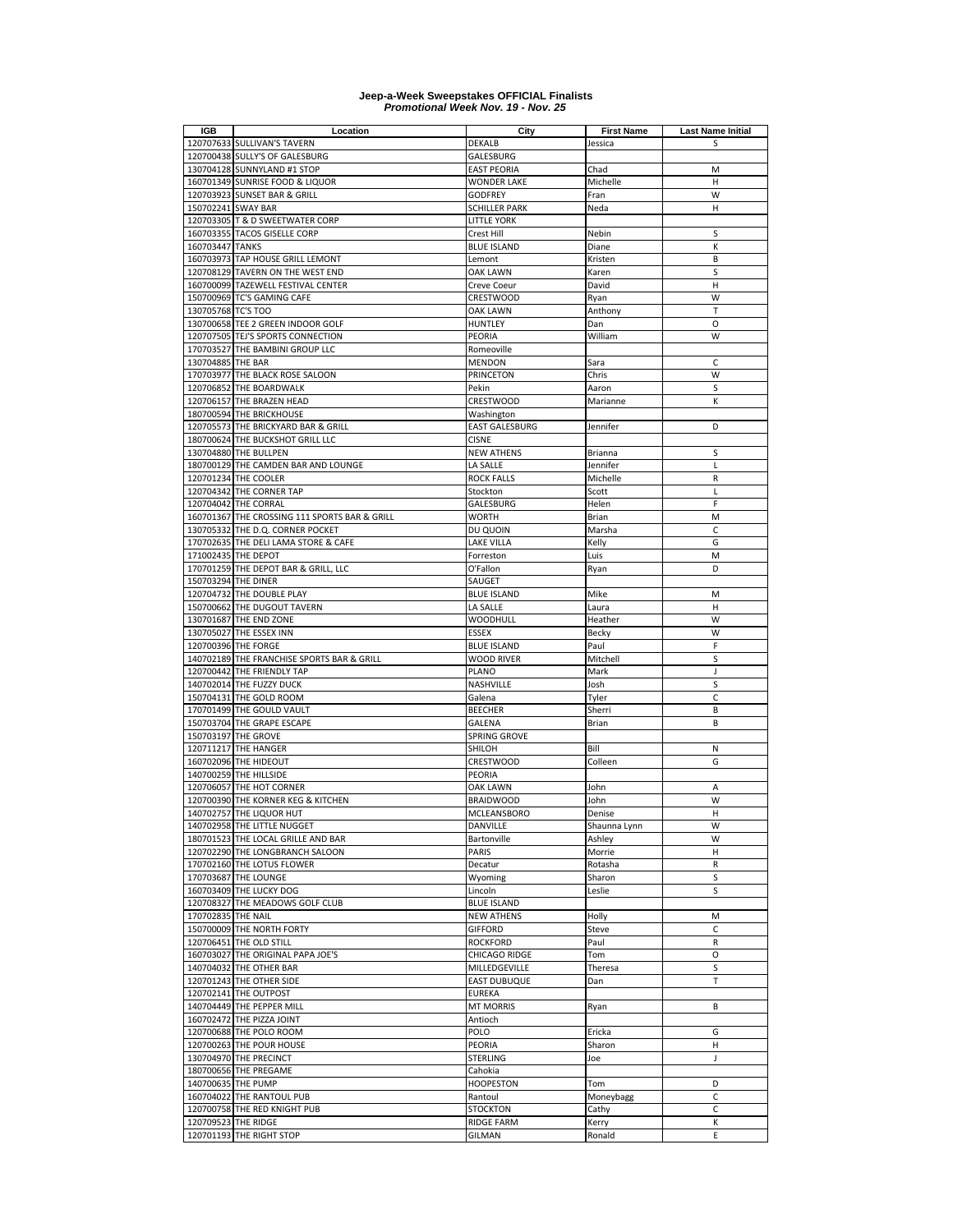| IGB                 | Location                                                                 | City                              | <b>First Name</b>      | Last Name Initial |
|---------------------|--------------------------------------------------------------------------|-----------------------------------|------------------------|-------------------|
|                     | 120707633 SULLIVAN'S TAVERN                                              | DEKALB                            | Jessica                | S                 |
|                     | 120700438 SULLY'S OF GALESBURG                                           | GALESBURG                         |                        |                   |
|                     | 130704128 SUNNYLAND #1 STOP                                              | <b>EAST PEORIA</b>                | Chad                   | M                 |
|                     | 160701349 SUNRISE FOOD & LIQUOR                                          | <b>WONDER LAKE</b>                | Michelle               | н                 |
|                     | 120703923 SUNSET BAR & GRILL                                             | <b>GODFREY</b>                    | Fran                   | W                 |
| 150702241 SWAY BAR  |                                                                          | <b>SCHILLER PARK</b>              | Neda                   | H                 |
|                     | 120703305 T & D SWEETWATER CORP                                          | <b>LITTLE YORK</b>                |                        |                   |
|                     | 160703355 TACOS GISELLE CORP                                             | Crest Hill                        | Nebin                  | S                 |
| 160703447 TANKS     |                                                                          | <b>BLUE ISLAND</b>                | Diane                  | К                 |
|                     | 160703973 TAP HOUSE GRILL LEMONT                                         | Lemont                            | Kristen                | B                 |
|                     | 120708129 TAVERN ON THE WEST END                                         | <b>OAK LAWN</b>                   | Karen                  | S                 |
|                     | 160700099 TAZEWELL FESTIVAL CENTER                                       | Creve Coeur                       | David                  | H                 |
|                     | 150700969 TC'S GAMING CAFE                                               | <b>CRESTWOOD</b>                  | Ryan                   | W                 |
| 130705768 TC'S TOO  |                                                                          | OAK LAWN                          | Anthony                | T                 |
|                     | 130700658 TEE 2 GREEN INDOOR GOLF                                        | <b>HUNTLEY</b>                    | Dan                    | O                 |
|                     | 120707505 TEJ'S SPORTS CONNECTION                                        | <b>PEORIA</b>                     | William                | W                 |
|                     | 170703527 THE BAMBINI GROUP LLC                                          | Romeoville                        |                        |                   |
| 130704885 THE BAR   |                                                                          | <b>MENDON</b>                     | Sara                   | C                 |
| 170703977           | THE BLACK ROSE SALOON                                                    | PRINCETON                         | Chris                  | W                 |
|                     | 120706852 THE BOARDWALK                                                  | Pekin                             | Aaron                  | S                 |
|                     | 120706157 THE BRAZEN HEAD                                                | CRESTWOOD                         | Marianne               | К                 |
|                     | 180700594 THE BRICKHOUSE                                                 | Washington                        |                        |                   |
|                     | 120705573 THE BRICKYARD BAR & GRILL                                      | <b>EAST GALESBURG</b>             | Jennifer               | D                 |
|                     | 180700624 THE BUCKSHOT GRILL LLC                                         | <b>CISNE</b>                      |                        |                   |
|                     | 130704880 THE BULLPEN                                                    | <b>NEW ATHENS</b>                 | Brianna                | S                 |
|                     | 180700129 THE CAMDEN BAR AND LOUNGE                                      | LA SALLE                          | Jennifer               | Г                 |
|                     | 120701234 THE COOLER                                                     | <b>ROCK FALLS</b>                 | Michelle               | R                 |
|                     | 120704342 THE CORNER TAP                                                 | Stockton                          | Scott                  | L                 |
|                     | 120704042 THE CORRAL                                                     | GALESBURG                         | Helen                  | F                 |
|                     | 160701367 THE CROSSING 111 SPORTS BAR & GRILL                            | <b>WORTH</b>                      | Brian                  | M                 |
|                     | 130705332 THE D.Q. CORNER POCKET                                         | DU QUOIN                          | Marsha                 | C                 |
| 170702635           | THE DELI LAMA STORE & CAFE                                               | <b>LAKE VILLA</b>                 | Kelly                  | G                 |
|                     | 171002435 THE DEPOT                                                      | Forreston                         | Luis                   | M                 |
|                     | 170701259 THE DEPOT BAR & GRILL, LLC                                     | O'Fallon                          | Ryan                   | D                 |
| 150703294 THE DINER |                                                                          | SAUGET                            |                        |                   |
|                     | 120704732 THE DOUBLE PLAY                                                | <b>BLUE ISLAND</b>                | Mike                   | M                 |
|                     | 150700662 THE DUGOUT TAVERN                                              | LA SALLE                          | Laura                  | H                 |
|                     | 130701687 THE END ZONE                                                   | <b>WOODHULL</b>                   | Heather                | W                 |
|                     | 130705027 THE ESSEX INN                                                  | <b>ESSEX</b>                      | Becky                  | W<br>F            |
|                     | 120700396 THE FORGE                                                      | <b>BLUE ISLAND</b>                | Paul                   | S                 |
|                     | 140702189 THE FRANCHISE SPORTS BAR & GRILL<br>120700442 THE FRIENDLY TAP | <b>WOOD RIVER</b><br><b>PLANO</b> | Mitchell<br>Mark       | J                 |
|                     |                                                                          | NASHVILLE                         |                        | S                 |
|                     | 140702014 THE FUZZY DUCK<br>150704131 THE GOLD ROOM                      | Galena                            | Josh                   | С                 |
|                     | 170701499 THE GOULD VAULT                                                |                                   | Tyler<br>Sherri        | B                 |
|                     | 150703704 THE GRAPE ESCAPE                                               | <b>BEECHER</b><br><b>GALENA</b>   |                        | B                 |
|                     | 150703197 THE GROVE                                                      | SPRING GROVE                      | Brian                  |                   |
| 120711217           | <b>THE HANGER</b>                                                        | SHILOH                            | Bill                   | N                 |
|                     | 160702096 THE HIDEOUT                                                    | CRESTWOOD                         |                        | G                 |
|                     |                                                                          |                                   | Colleen                |                   |
|                     | 140700259 THE HILLSIDE<br>120706057 THE HOT CORNER                       | PEORIA                            |                        | Α                 |
|                     | 120700390 THE KORNER KEG & KITCHEN                                       | OAK LAWN                          | John                   |                   |
|                     | 140702757 THE LIQUOR HUT                                                 | <b>BRAIDWOOD</b><br>MCLEANSBORO   | John<br>Denise         | W<br>н            |
|                     |                                                                          |                                   |                        |                   |
|                     | 140702958 THE LITTLE NUGGET<br>180701523 THE LOCAL GRILLE AND BAR        | DANVILLE<br>Bartonville           | Shaunna Lynn<br>Ashley | W<br>W            |
|                     | 120702290 THE LONGBRANCH SALOON                                          | PARIS                             | Morrie                 | н                 |
|                     | 170702160 THE LOTUS FLOWER                                               | Decatur                           | Rotasha                | R                 |
|                     | 170703687 THE LOUNGE                                                     | Wyoming                           | Sharon                 | S                 |
|                     | 160703409 THE LUCKY DOG                                                  | Lincoln                           | Leslie                 | S                 |
|                     | 120708327 THE MEADOWS GOLF CLUB                                          | <b>BLUE ISLAND</b>                |                        |                   |
| 170702835           | <b>THE NAIL</b>                                                          | <b>NEW ATHENS</b>                 | Holly                  | M                 |
|                     | 150700009 THE NORTH FORTY                                                | <b>GIFFORD</b>                    | Steve                  | C                 |
|                     | 120706451 THE OLD STILL                                                  | <b>ROCKFORD</b>                   | Paul                   | R                 |
| 160703027           | THE ORIGINAL PAPA JOE'S                                                  | <b>CHICAGO RIDGE</b>              | Tom                    | O                 |
| 140704032           | THE OTHER BAR                                                            | MILLEDGEVILLE                     | Theresa                | S                 |
|                     | 120701243 THE OTHER SIDE                                                 | <b>EAST DUBUQUE</b>               | Dan                    | Т                 |
|                     | 120702141 THE OUTPOST                                                    | <b>EUREKA</b>                     |                        |                   |
|                     | 140704449 THE PEPPER MILL                                                | <b>MT MORRIS</b>                  | Ryan                   | В                 |
| 160702472           | THE PIZZA JOINT                                                          | Antioch                           |                        |                   |
| 120700688           | THE POLO ROOM                                                            | POLO                              | Ericka                 | G                 |
|                     | 120700263 THE POUR HOUSE                                                 | PEORIA                            | Sharon                 | н                 |
|                     | 130704970 THE PRECINCT                                                   | <b>STERLING</b>                   | Joe                    | J                 |
|                     | 180700656 THE PREGAME                                                    | Cahokia                           |                        |                   |
| 140700635 THE PUMP  |                                                                          | <b>HOOPESTON</b>                  | Tom                    | D                 |
|                     | 160704022 THE RANTOUL PUB                                                | Rantoul                           | Moneybagg              | С                 |
|                     | 120700758 THE RED KNIGHT PUB                                             | <b>STOCKTON</b>                   | Cathy                  | С                 |
| 120709523 THE RIDGE |                                                                          | <b>RIDGE FARM</b>                 | Kerry                  | Κ                 |
|                     | 120701193 THE RIGHT STOP                                                 | <b>GILMAN</b>                     | Ronald                 | E                 |
|                     |                                                                          |                                   |                        |                   |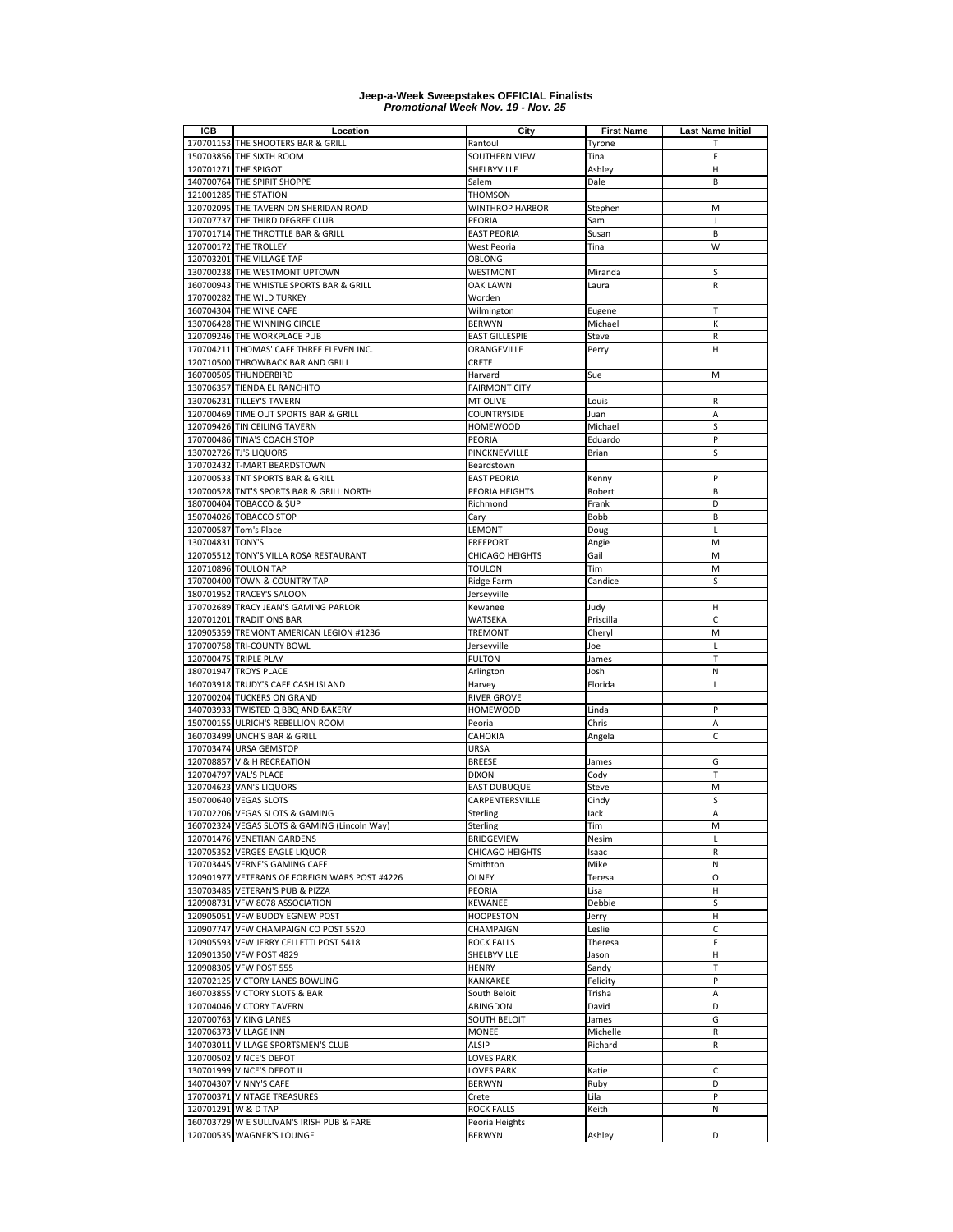| IGB                 | Location                                              | City                         | <b>First Name</b> | <b>Last Name Initial</b>                            |
|---------------------|-------------------------------------------------------|------------------------------|-------------------|-----------------------------------------------------|
|                     | 170701153 THE SHOOTERS BAR & GRILL                    | Rantoul                      | Tyrone            | т<br>F                                              |
|                     | 150703856 THE SIXTH ROOM<br>120701271 THE SPIGOT      | SOUTHERN VIEW<br>SHELBYVILLE | Tina<br>Ashley    | $\mathsf{H}% _{\mathsf{H}}^{\ast}(\mathcal{M}_{0})$ |
|                     | 140700764 THE SPIRIT SHOPPE                           | Salem                        | Dale              | B                                                   |
|                     | 121001285 THE STATION                                 | <b>THOMSON</b>               |                   |                                                     |
|                     | 120702095 THE TAVERN ON SHERIDAN ROAD                 | WINTHROP HARBOR              | Stephen           | M                                                   |
|                     | 120707737 THE THIRD DEGREE CLUB                       | PEORIA                       | Sam               | J                                                   |
|                     | 170701714 THE THROTTLE BAR & GRILL                    | <b>EAST PEORIA</b>           | Susan             | B                                                   |
|                     | 120700172 THE TROLLEY                                 | West Peoria                  | Tina              | W                                                   |
|                     | 120703201 THE VILLAGE TAP                             | OBLONG                       |                   |                                                     |
|                     | 130700238 THE WESTMONT UPTOWN                         | WESTMONT                     | Miranda           | S                                                   |
|                     | 160700943 THE WHISTLE SPORTS BAR & GRILL              | <b>OAK LAWN</b>              | Laura             | R                                                   |
|                     | 170700282 THE WILD TURKEY                             | Worden                       |                   |                                                     |
|                     | 160704304 THE WINE CAFE                               | Wilmington                   | Eugene            | т                                                   |
|                     | 130706428 THE WINNING CIRCLE                          | <b>BERWYN</b>                | Michael           | К                                                   |
|                     | 120709246 THE WORKPLACE PUB                           | <b>EAST GILLESPIE</b>        | Steve             | ${\sf R}$                                           |
|                     | 170704211 THOMAS' CAFE THREE ELEVEN INC.              | ORANGEVILLE                  | Perry             | н                                                   |
|                     | 120710500 THROWBACK BAR AND GRILL                     | CRETE                        |                   |                                                     |
|                     | 160700505 THUNDERBIRD                                 | Harvard                      | Sue               | M                                                   |
|                     | 130706357 TIENDA EL RANCHITO                          | <b>FAIRMONT CITY</b>         |                   |                                                     |
|                     | 130706231 TILLEY'S TAVERN                             | <b>MT OLIVE</b>              | Louis             | R                                                   |
|                     | 120700469 TIME OUT SPORTS BAR & GRILL                 | <b>COUNTRYSIDE</b>           | Juan              | А                                                   |
|                     | 120709426 TIN CEILING TAVERN                          | <b>HOMEWOOD</b>              | Michael           | S<br>P                                              |
|                     | 170700486 TINA'S COACH STOP                           | PEORIA                       | Eduardo           |                                                     |
|                     | 130702726 TJ'S LIQUORS<br>170702432 T-MART BEARDSTOWN | PINCKNEYVILLE<br>Beardstown  | Brian             | S                                                   |
|                     | 120700533 TNT SPORTS BAR & GRILL                      | <b>EAST PEORIA</b>           | Kenny             | P                                                   |
|                     | 120700528 TNT'S SPORTS BAR & GRILL NORTH              | PEORIA HEIGHTS               | Robert            | B                                                   |
|                     | 180700404 TOBACCO & SUP                               | Richmond                     | Frank             | D                                                   |
|                     | 150704026 TOBACCO STOP                                | Cary                         | Bobb              | B                                                   |
|                     | 120700587 Tom's Place                                 | LEMONT                       | Doug              | L                                                   |
| 130704831 TONY'S    |                                                       | <b>FREEPORT</b>              | Angie             | M                                                   |
|                     | 120705512 TONY'S VILLA ROSA RESTAURANT                | CHICAGO HEIGHTS              | Gail              | M                                                   |
|                     | 120710896 TOULON TAP                                  | <b>TOULON</b>                | Tim               | M                                                   |
|                     | 170700400 TOWN & COUNTRY TAP                          | Ridge Farm                   | Candice           | s                                                   |
|                     | 180701952 TRACEY'S SALOON                             | Jerseyville                  |                   |                                                     |
|                     | 170702689 TRACY JEAN'S GAMING PARLOR                  | Kewanee                      | Judy              | н                                                   |
|                     | 120701201 TRADITIONS BAR                              | WATSEKA                      | Priscilla         | C                                                   |
|                     | 120905359 TREMONT AMERICAN LEGION #1236               | <b>TREMONT</b>               | Cheryl            | M                                                   |
|                     | 170700758 TRI-COUNTY BOWL                             | Jerseyville                  | Joe               | Г                                                   |
|                     | 120700475 TRIPLE PLAY                                 | <b>FULTON</b>                | James             | т                                                   |
|                     | 180701947 TROYS PLACE                                 | Arlington                    | Josh              | N                                                   |
|                     | 160703918 TRUDY'S CAFE CASH ISLAND                    | Harvey                       | Florida           | L                                                   |
|                     | 120700204 TUCKERS ON GRAND                            | <b>RIVER GROVE</b>           |                   |                                                     |
|                     | 140703933 TWISTED Q BBQ AND BAKERY                    | <b>HOMEWOOD</b>              | Linda             | P                                                   |
|                     | 150700155 ULRICH'S REBELLION ROOM                     | Peoria                       | Chris             | Α                                                   |
|                     | 160703499 UNCH'S BAR & GRILL                          | CAHOKIA                      | Angela            | C                                                   |
|                     | 170703474 URSA GEMSTOP                                | URSA                         |                   |                                                     |
|                     | 120708857 V & H RECREATION                            | <b>BREESE</b>                | James             | G                                                   |
|                     | 120704797 VAL'S PLACE<br>120704623 VAN'S LIQUORS      | <b>DIXON</b><br>EAST DUBUQUE | Cody              | T<br>M                                              |
|                     | 150700640 VEGAS SLOTS                                 | CARPENTERSVILLE              | Steve<br>Cindy    | S                                                   |
|                     | 170702206 VEGAS SLOTS & GAMING                        | Sterling                     | lack              | A                                                   |
|                     | 160702324 VEGAS SLOTS & GAMING (Lincoln Way)          | Sterling                     | Tim               | M                                                   |
|                     | 120701476 VENETIAN GARDENS                            | <b>BRIDGEVIEW</b>            | Nesim             | Г                                                   |
|                     | 120705352 VERGES EAGLE LIQUOR                         | CHICAGO HEIGHTS              | Isaac             | R                                                   |
|                     | 170703445 VERNE'S GAMING CAFE                         | Smithton                     | Mike              | N                                                   |
|                     | 120901977 VETERANS OF FOREIGN WARS POST #4226         | OLNEY                        | Teresa            | O                                                   |
|                     | 130703485 VETERAN'S PUB & PIZZA                       | PEORIA                       | Lisa              | н                                                   |
|                     | 120908731 VFW 8078 ASSOCIATION                        | <b>KEWANEE</b>               | Debbie            | s                                                   |
|                     | 120905051 VFW BUDDY EGNEW POST                        | <b>HOOPESTON</b>             | Jerry             | н                                                   |
|                     | 120907747 VFW CHAMPAIGN CO POST 5520                  | CHAMPAIGN                    | Leslie            | C                                                   |
|                     | 120905593 VFW JERRY CELLETTI POST 5418                | <b>ROCK FALLS</b>            | Theresa           | F                                                   |
|                     | 120901350 VFW POST 4829                               | SHELBYVILLE                  | Jason             | н                                                   |
|                     | 120908305 VFW POST 555                                | <b>HENRY</b>                 | Sandy             | Т                                                   |
|                     | 120702125 VICTORY LANES BOWLING                       | KANKAKEE                     | Felicity          | P                                                   |
|                     | 160703855 VICTORY SLOTS & BAR                         | South Beloit                 | Trisha            | А                                                   |
|                     | 120704046 VICTORY TAVERN                              | ABINGDON                     | David             | D                                                   |
|                     | 120700763 VIKING LANES                                | <b>SOUTH BELOIT</b>          | James             | G                                                   |
|                     | 120706373 VILLAGE INN                                 | <b>MONEE</b>                 | Michelle          | R                                                   |
|                     | 140703011 VILLAGE SPORTSMEN'S CLUB                    | ALSIP                        | Richard           | R                                                   |
|                     | 120700502 VINCE'S DEPOT                               | <b>LOVES PARK</b>            |                   |                                                     |
|                     | 130701999 VINCE'S DEPOT II                            | LOVES PARK                   | Katie             | C                                                   |
|                     | 140704307 VINNY'S CAFE                                | <b>BERWYN</b>                | Ruby              | D                                                   |
|                     | 170700371 VINTAGE TREASURES                           | Crete                        | Lila              | P                                                   |
|                     |                                                       | <b>ROCK FALLS</b>            | Keith             | N                                                   |
| 120701291 W & D TAP | 160703729 W E SULLIVAN'S IRISH PUB & FARE             | Peoria Heights               |                   |                                                     |